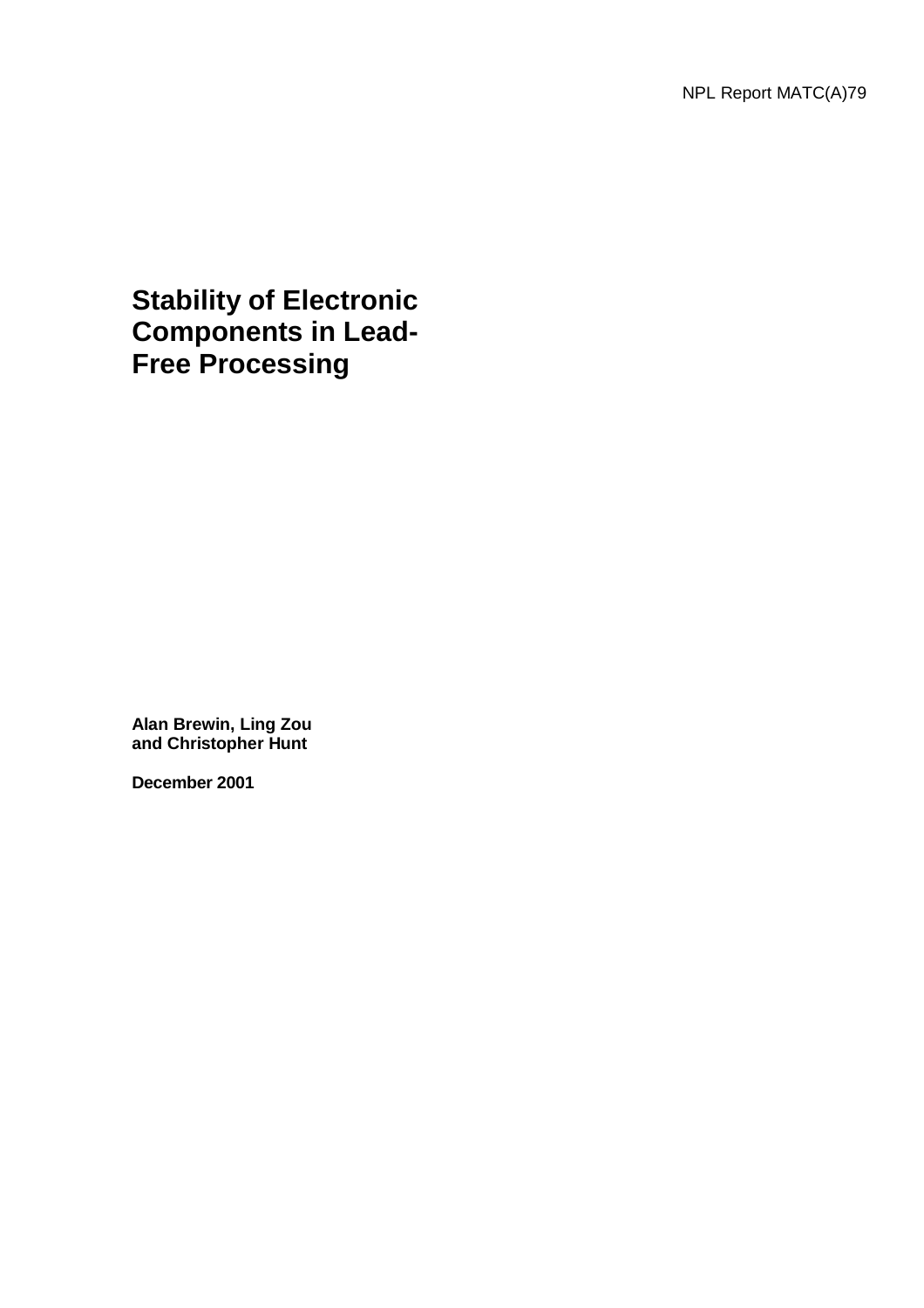**Stability of Electronic Components in Lead-Free Processing**

**Alan Brewin, Ling Zou and Christopher Hunt** 

**December 2001**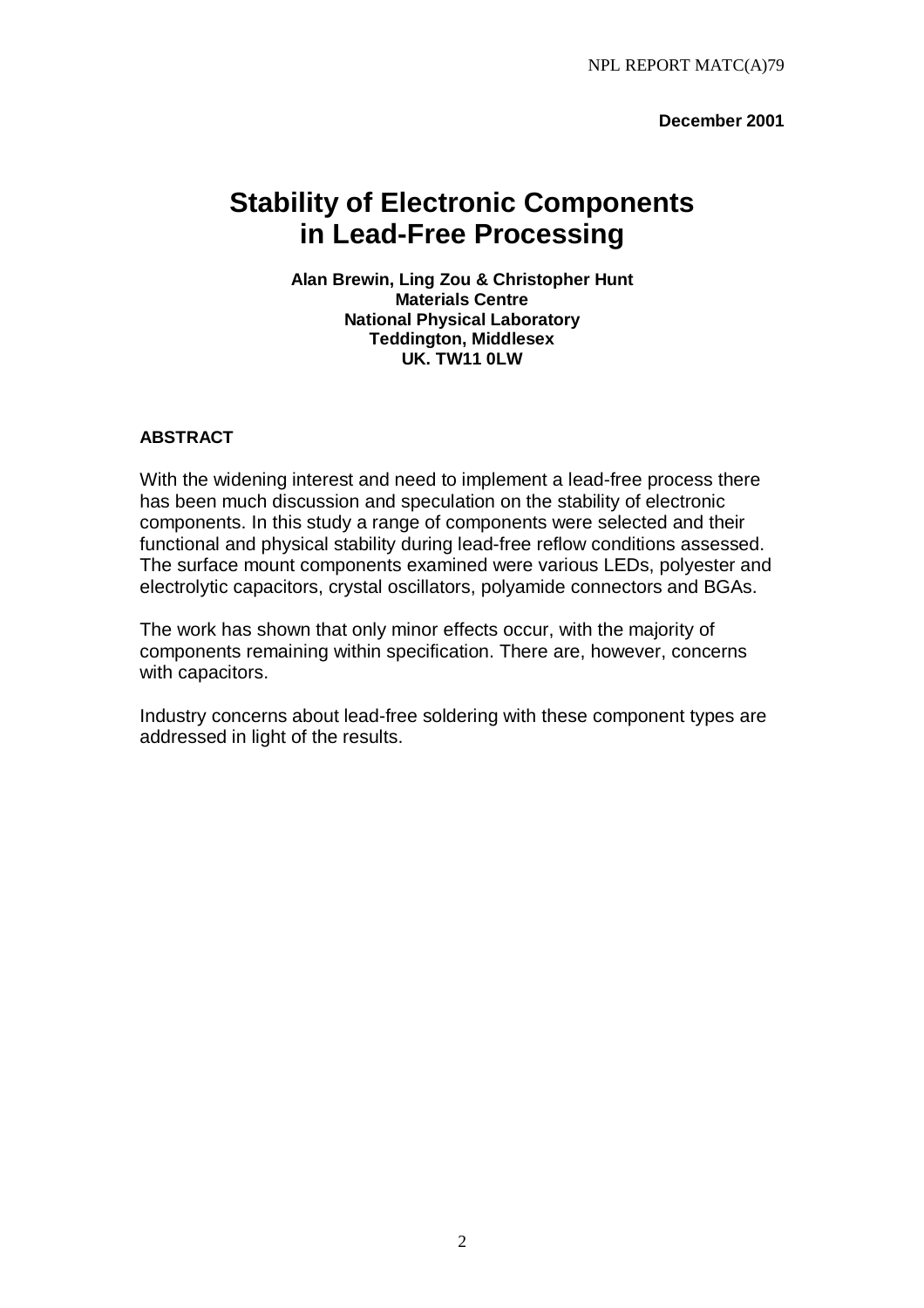**December 2001** 

# **Stability of Electronic Components in Lead-Free Processing**

**Alan Brewin, Ling Zou & Christopher Hunt Materials Centre National Physical Laboratory Teddington, Middlesex UK. TW11 0LW** 

# **ABSTRACT**

With the widening interest and need to implement a lead-free process there has been much discussion and speculation on the stability of electronic components. In this study a range of components were selected and their functional and physical stability during lead-free reflow conditions assessed. The surface mount components examined were various LEDs, polyester and electrolytic capacitors, crystal oscillators, polyamide connectors and BGAs.

The work has shown that only minor effects occur, with the majority of components remaining within specification. There are, however, concerns with capacitors.

Industry concerns about lead-free soldering with these component types are addressed in light of the results.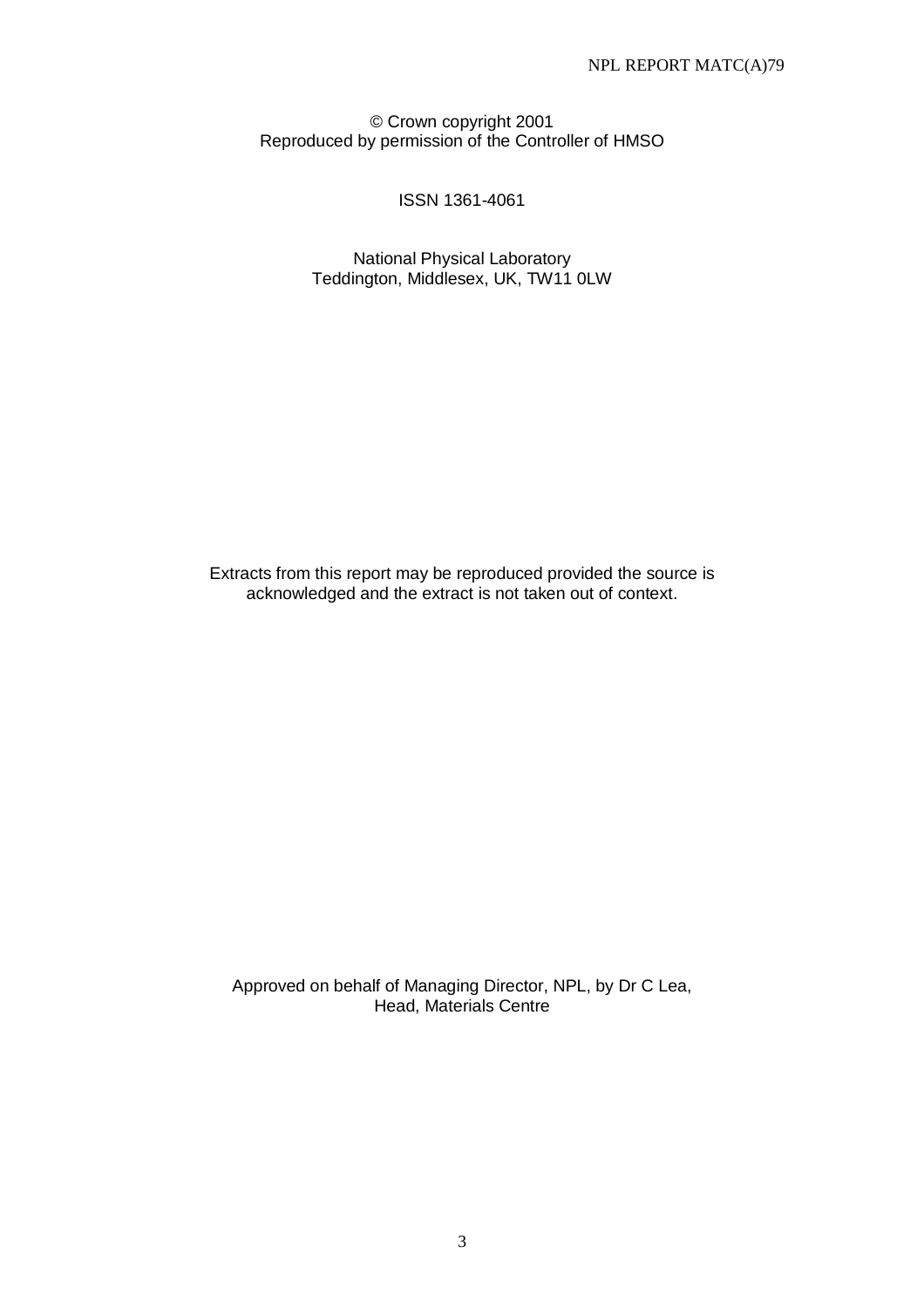© Crown copyright 2001 Reproduced by permission of the Controller of HMSO

# ISSN 1361-4061

National Physical Laboratory Teddington, Middlesex, UK, TW11 0LW

Extracts from this report may be reproduced provided the source is acknowledged and the extract is not taken out of context.

Approved on behalf of Managing Director, NPL, by Dr C Lea, Head, Materials Centre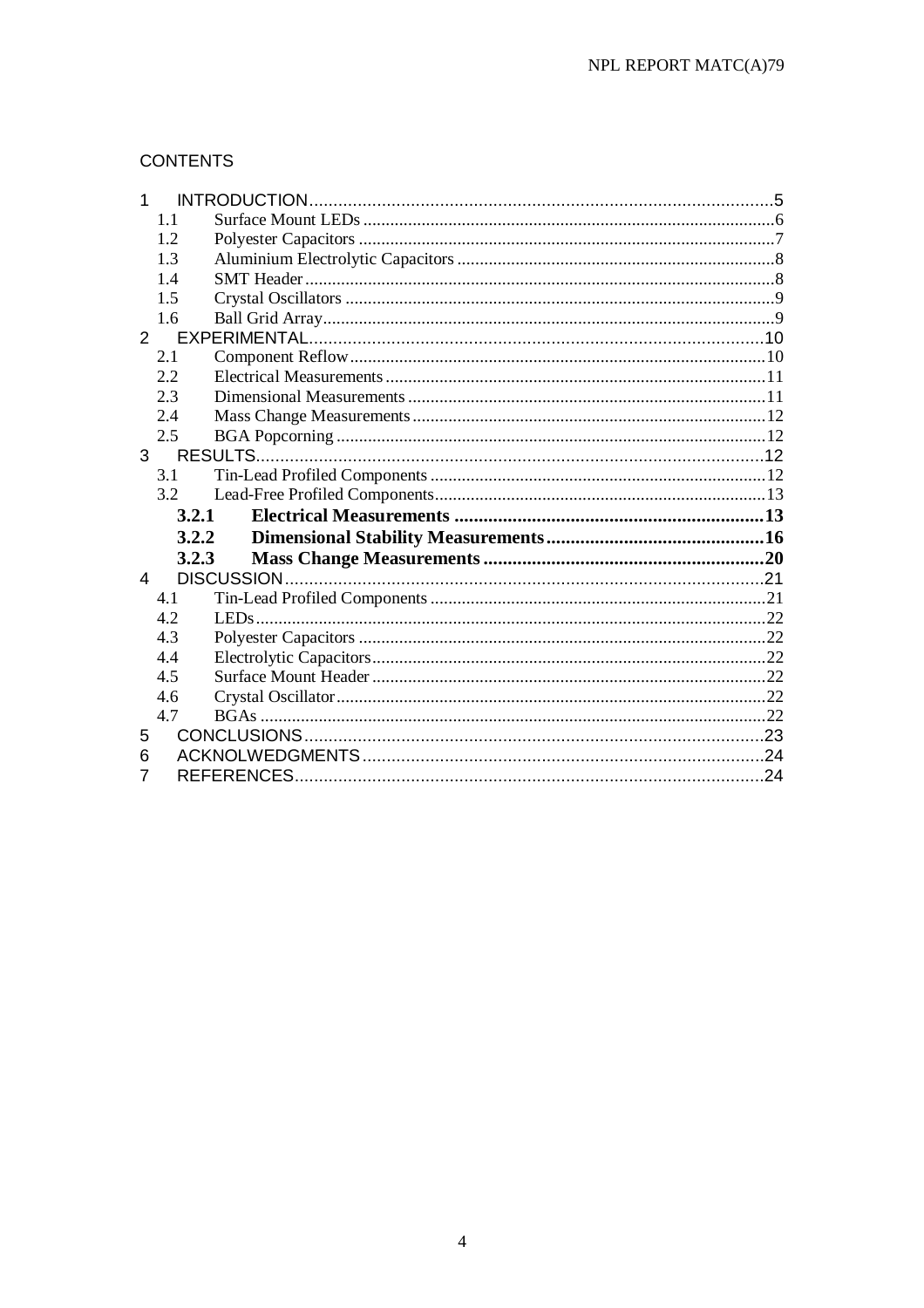# **CONTENTS**

| 1           |             |  |
|-------------|-------------|--|
|             | 1.1         |  |
|             | 1.2         |  |
|             | 1.3         |  |
|             | 1.4         |  |
|             | 1.5         |  |
|             | 1.6         |  |
| $2^{\circ}$ |             |  |
|             | 2.1         |  |
|             | 2.2         |  |
|             | 2.3         |  |
|             | 2.4         |  |
|             | 2.5         |  |
|             | $3^{\circ}$ |  |
|             | 3.1         |  |
|             |             |  |
|             | 3.2         |  |
|             | 3.2.1       |  |
|             | 3.2.2       |  |
|             | 3.2.3       |  |
| 4           |             |  |
|             | 4.1         |  |
|             | 4.2         |  |
|             | 4.3         |  |
|             | 4.4         |  |
|             | 4.5         |  |
|             | 4.6         |  |
|             | 4.7         |  |
| 5           |             |  |
| 6           |             |  |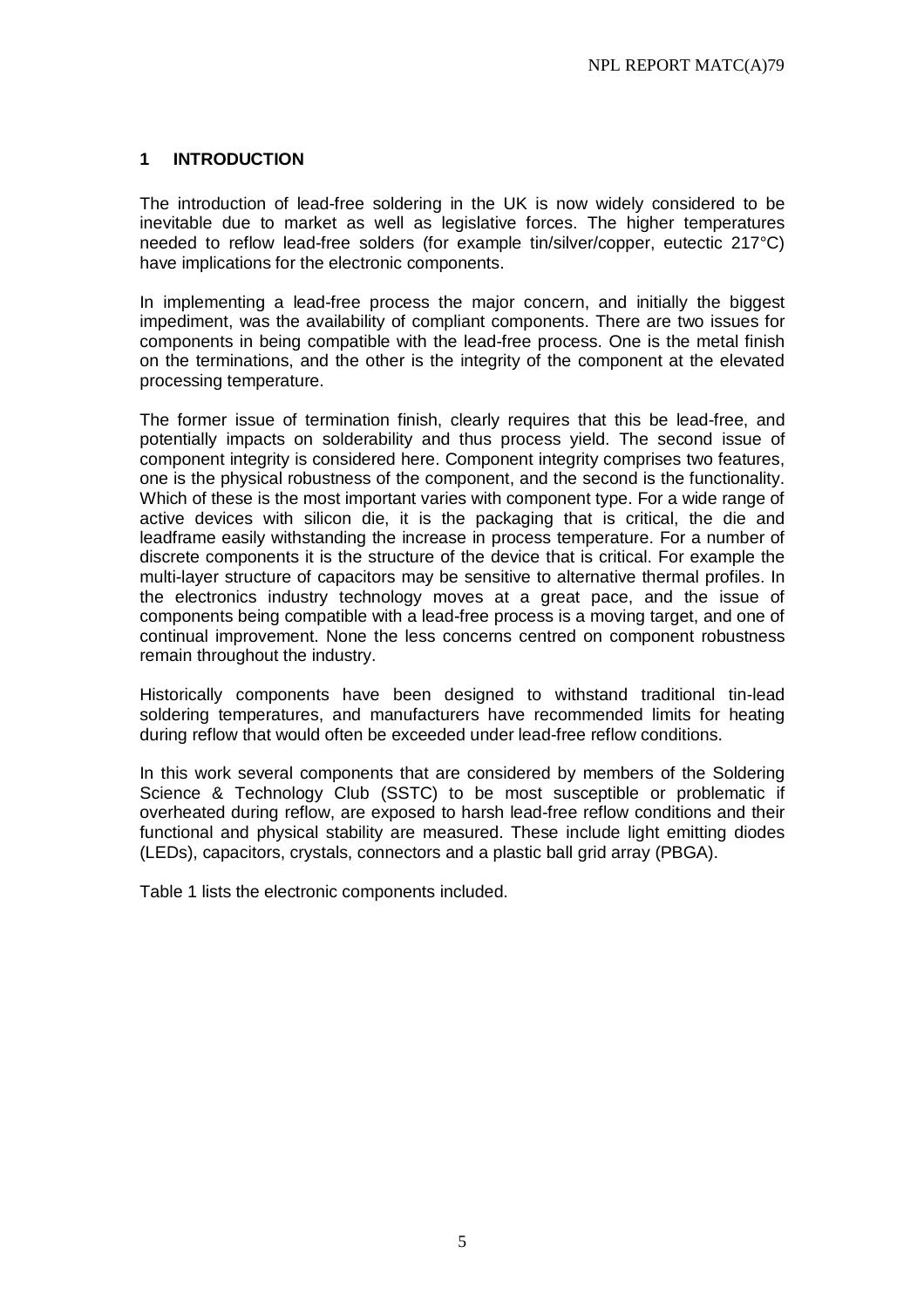#### **1 INTRODUCTION**

The introduction of lead-free soldering in the UK is now widely considered to be inevitable due to market as well as legislative forces. The higher temperatures needed to reflow lead-free solders (for example tin/silver/copper, eutectic 217°C) have implications for the electronic components.

In implementing a lead-free process the major concern, and initially the biggest impediment, was the availability of compliant components. There are two issues for components in being compatible with the lead-free process. One is the metal finish on the terminations, and the other is the integrity of the component at the elevated processing temperature.

The former issue of termination finish, clearly requires that this be lead-free, and potentially impacts on solderability and thus process yield. The second issue of component integrity is considered here. Component integrity comprises two features, one is the physical robustness of the component, and the second is the functionality. Which of these is the most important varies with component type. For a wide range of active devices with silicon die, it is the packaging that is critical, the die and leadframe easily withstanding the increase in process temperature. For a number of discrete components it is the structure of the device that is critical. For example the multi-layer structure of capacitors may be sensitive to alternative thermal profiles. In the electronics industry technology moves at a great pace, and the issue of components being compatible with a lead-free process is a moving target, and one of continual improvement. None the less concerns centred on component robustness remain throughout the industry.

Historically components have been designed to withstand traditional tin-lead soldering temperatures, and manufacturers have recommended limits for heating during reflow that would often be exceeded under lead-free reflow conditions.

In this work several components that are considered by members of the Soldering Science & Technology Club (SSTC) to be most susceptible or problematic if overheated during reflow, are exposed to harsh lead-free reflow conditions and their functional and physical stability are measured. These include light emitting diodes (LEDs), capacitors, crystals, connectors and a plastic ball grid array (PBGA).

Table 1 lists the electronic components included.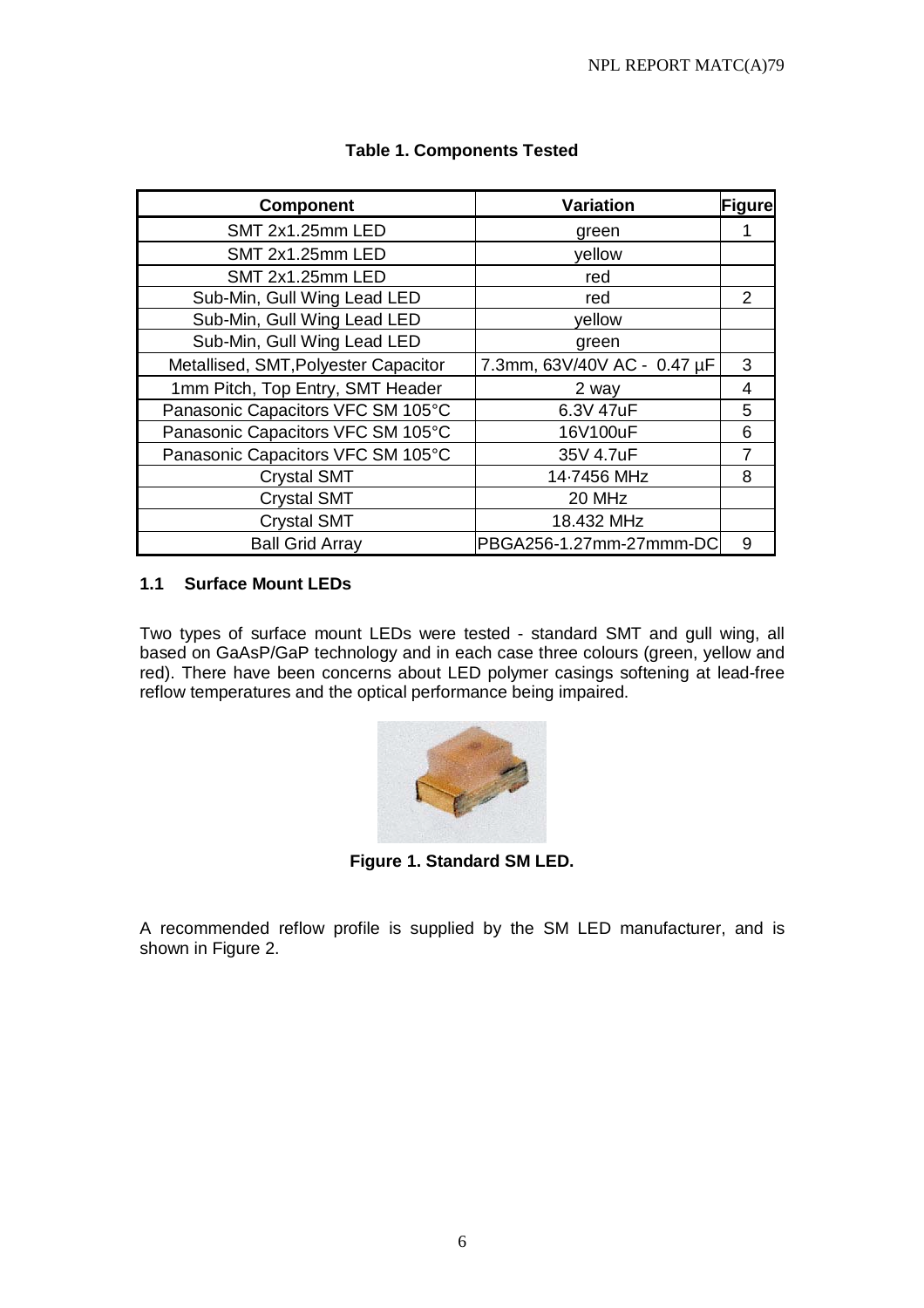| <b>Component</b>                     | <b>Variation</b>            | <b>Figure</b> |
|--------------------------------------|-----------------------------|---------------|
| SMT 2x1.25mm LED                     | green                       |               |
| SMT 2x1.25mm LED                     | yellow                      |               |
| <b>SMT 2x1.25mm LED</b>              | red                         |               |
| Sub-Min, Gull Wing Lead LED          | red                         | 2             |
| Sub-Min, Gull Wing Lead LED          | yellow                      |               |
| Sub-Min, Gull Wing Lead LED          | green                       |               |
| Metallised, SMT, Polyester Capacitor | 7.3mm, 63V/40V AC - 0.47 µF | 3             |
| 1mm Pitch, Top Entry, SMT Header     | 2 way                       | 4             |
| Panasonic Capacitors VFC SM 105°C    | 6.3V 47uF                   | 5             |
| Panasonic Capacitors VFC SM 105°C    | 16V100uF                    | 6             |
| Panasonic Capacitors VFC SM 105°C    | 35V 4.7uF                   |               |
| <b>Crystal SMT</b>                   | 14-7456 MHz                 | 8             |
| <b>Crystal SMT</b>                   | 20 MHz                      |               |
| <b>Crystal SMT</b>                   | 18.432 MHz                  |               |
| <b>Ball Grid Array</b>               | PBGA256-1.27mm-27mmm-DC     | 9             |

# **Table 1. Components Tested**

#### **1.1 Surface Mount LEDs**

Two types of surface mount LEDs were tested - standard SMT and gull wing, all based on GaAsP/GaP technology and in each case three colours (green, yellow and red). There have been concerns about LED polymer casings softening at lead-free reflow temperatures and the optical performance being impaired.



**Figure 1. Standard SM LED.**

A recommended reflow profile is supplied by the SM LED manufacturer, and is shown in Figure 2.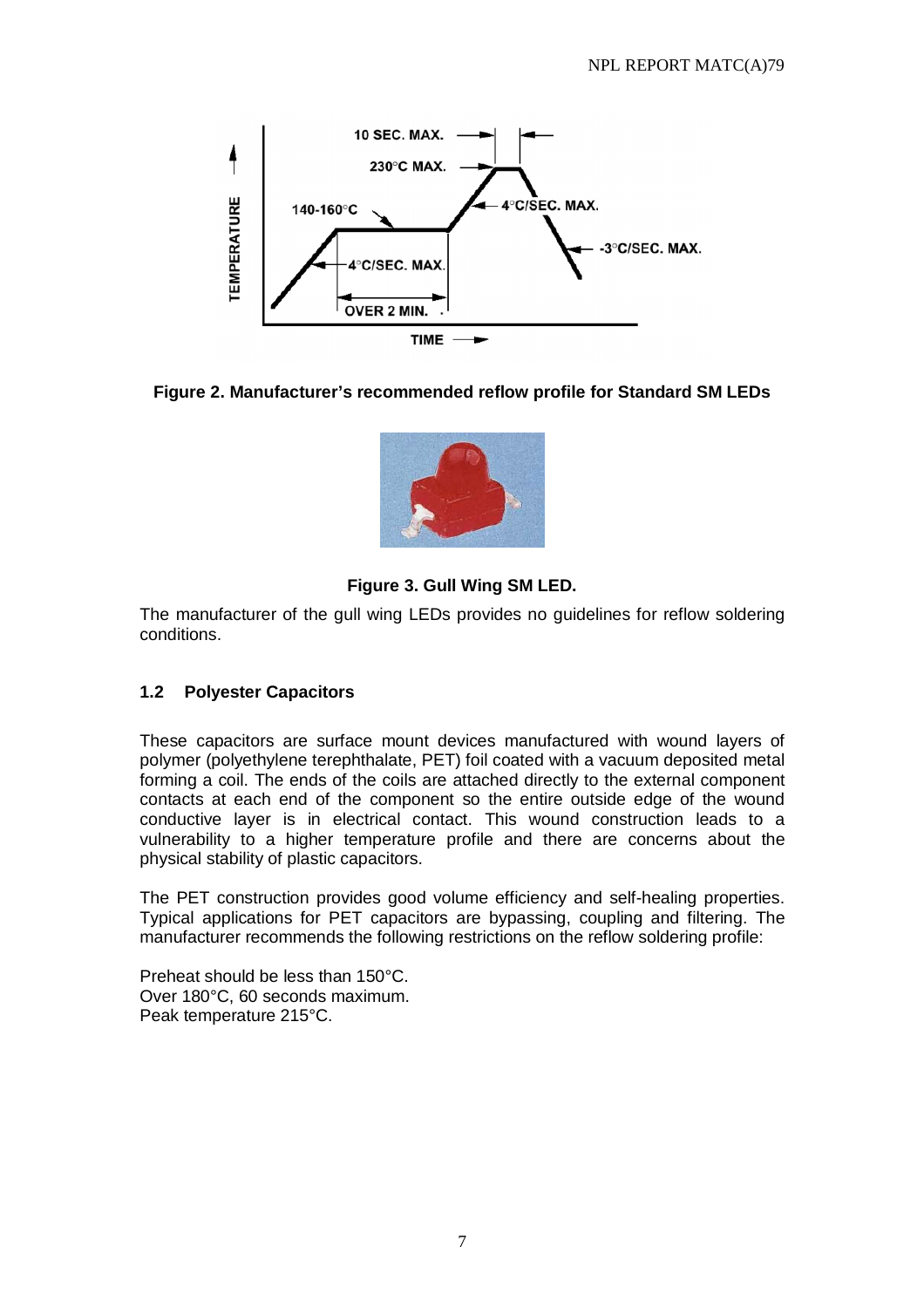

#### **Figure 2. Manufacturer's recommended reflow profile for Standard SM LEDs**



# **Figure 3. Gull Wing SM LED.**

The manufacturer of the gull wing LEDs provides no guidelines for reflow soldering conditions.

#### **1.2 Polyester Capacitors**

These capacitors are surface mount devices manufactured with wound layers of polymer (polyethylene terephthalate, PET) foil coated with a vacuum deposited metal forming a coil. The ends of the coils are attached directly to the external component contacts at each end of the component so the entire outside edge of the wound conductive layer is in electrical contact. This wound construction leads to a vulnerability to a higher temperature profile and there are concerns about the physical stability of plastic capacitors.

The PET construction provides good volume efficiency and self-healing properties. Typical applications for PET capacitors are bypassing, coupling and filtering. The manufacturer recommends the following restrictions on the reflow soldering profile:

Preheat should be less than 150°C. Over 180°C, 60 seconds maximum. Peak temperature 215°C.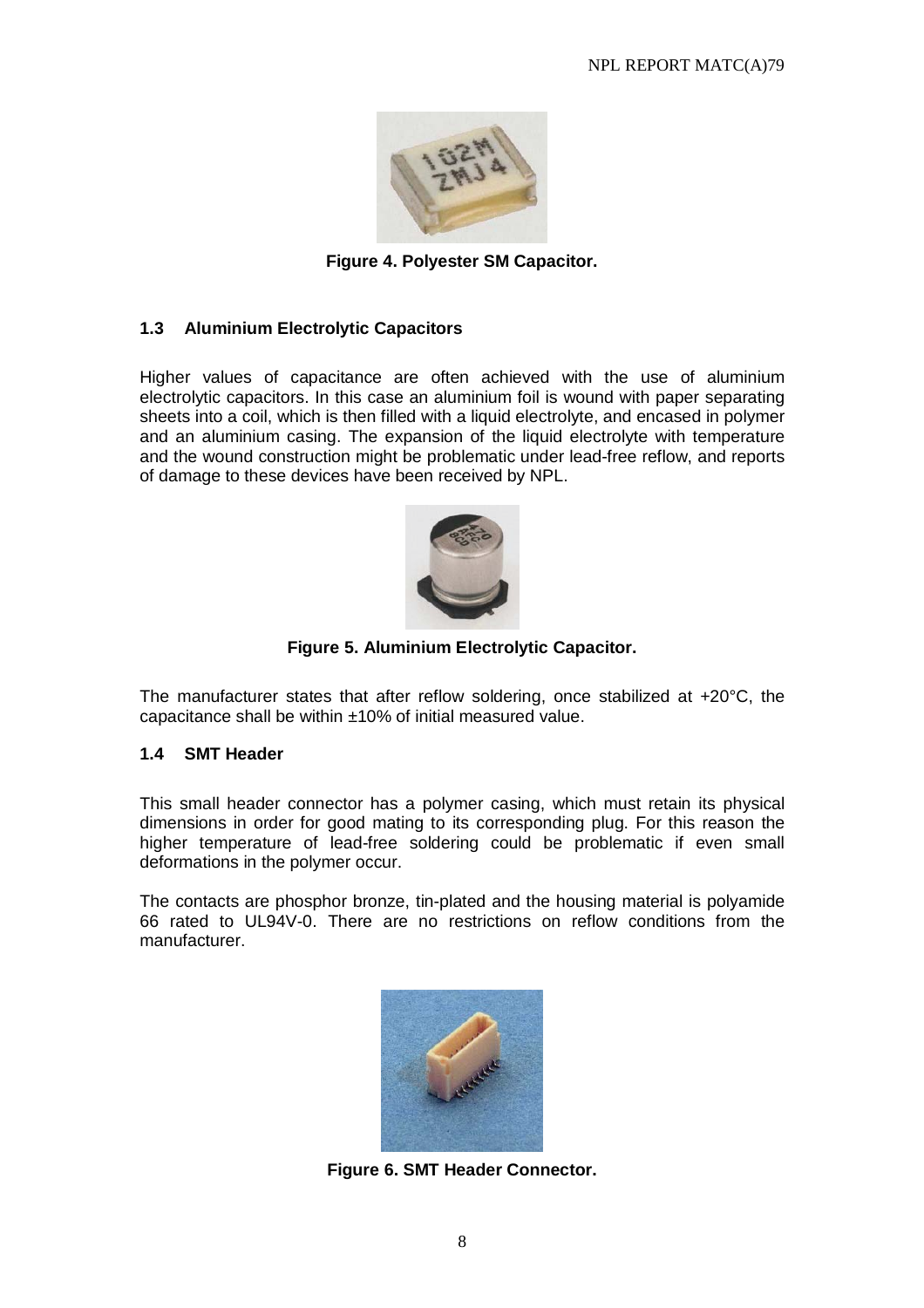

**Figure 4. Polyester SM Capacitor.** 

#### **1.3 Aluminium Electrolytic Capacitors**

Higher values of capacitance are often achieved with the use of aluminium electrolytic capacitors. In this case an aluminium foil is wound with paper separating sheets into a coil, which is then filled with a liquid electrolyte, and encased in polymer and an aluminium casing. The expansion of the liquid electrolyte with temperature and the wound construction might be problematic under lead-free reflow, and reports of damage to these devices have been received by NPL.



**Figure 5. Aluminium Electrolytic Capacitor.** 

The manufacturer states that after reflow soldering, once stabilized at +20°C, the capacitance shall be within ±10% of initial measured value.

#### **1.4 SMT Header**

This small header connector has a polymer casing, which must retain its physical dimensions in order for good mating to its corresponding plug. For this reason the higher temperature of lead-free soldering could be problematic if even small deformations in the polymer occur.

The contacts are phosphor bronze, tin-plated and the housing material is polyamide 66 rated to UL94V-0. There are no restrictions on reflow conditions from the manufacturer.



**Figure 6. SMT Header Connector.**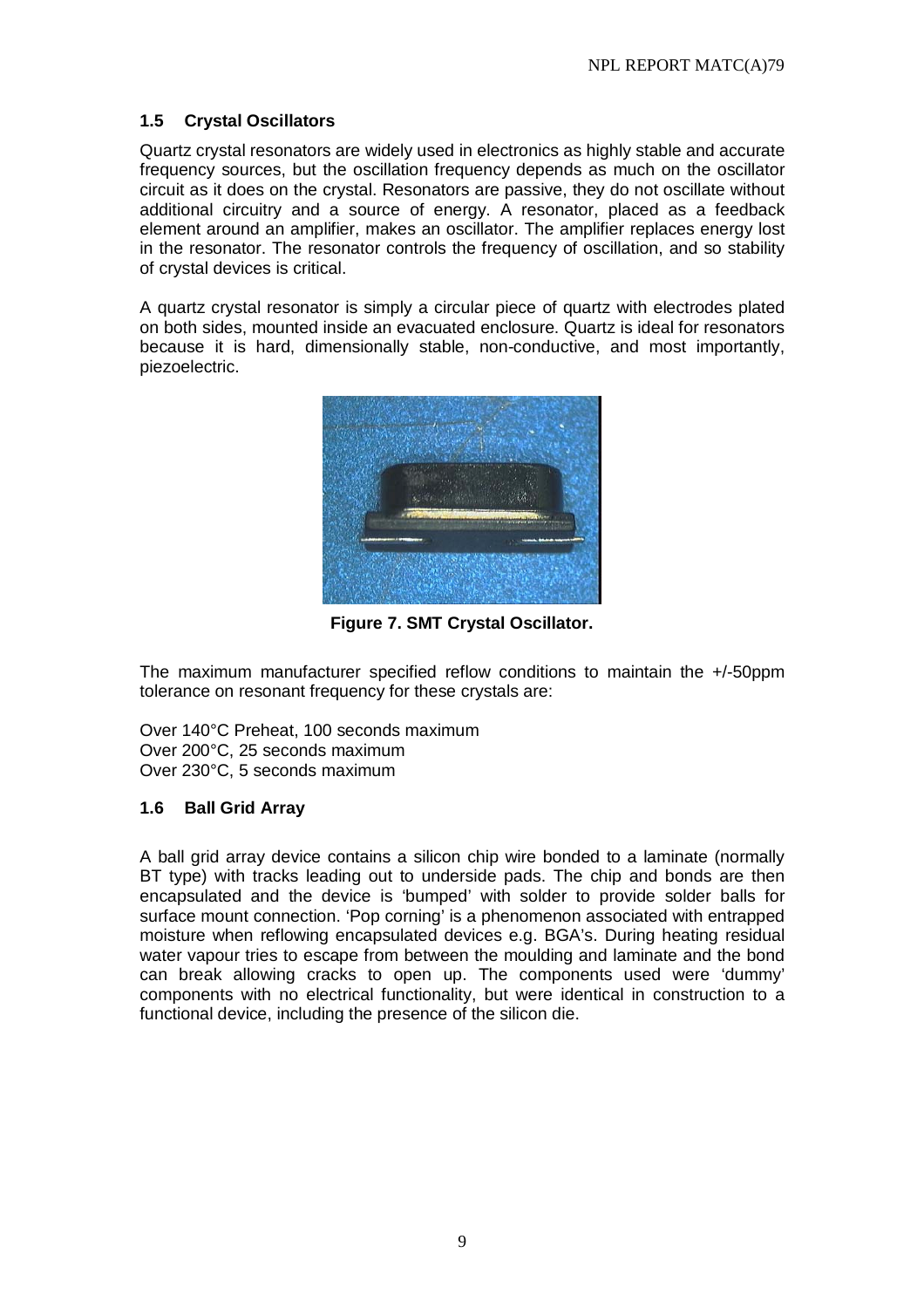## **1.5 Crystal Oscillators**

Quartz crystal resonators are widely used in electronics as highly stable and accurate frequency sources, but the oscillation frequency depends as much on the oscillator circuit as it does on the crystal. Resonators are passive, they do not oscillate without additional circuitry and a source of energy. A resonator, placed as a feedback element around an amplifier, makes an oscillator. The amplifier replaces energy lost in the resonator. The resonator controls the frequency of oscillation, and so stability of crystal devices is critical.

A quartz crystal resonator is simply a circular piece of quartz with electrodes plated on both sides, mounted inside an evacuated enclosure. Quartz is ideal for resonators because it is hard, dimensionally stable, non-conductive, and most importantly, piezoelectric.



**Figure 7. SMT Crystal Oscillator.** 

The maximum manufacturer specified reflow conditions to maintain the +/-50ppm tolerance on resonant frequency for these crystals are:

Over 140°C Preheat, 100 seconds maximum Over 200°C, 25 seconds maximum Over 230°C, 5 seconds maximum

#### **1.6 Ball Grid Array**

A ball grid array device contains a silicon chip wire bonded to a laminate (normally BT type) with tracks leading out to underside pads. The chip and bonds are then encapsulated and the device is 'bumped' with solder to provide solder balls for surface mount connection. 'Pop corning' is a phenomenon associated with entrapped moisture when reflowing encapsulated devices e.g. BGA's. During heating residual water vapour tries to escape from between the moulding and laminate and the bond can break allowing cracks to open up. The components used were 'dummy' components with no electrical functionality, but were identical in construction to a functional device, including the presence of the silicon die.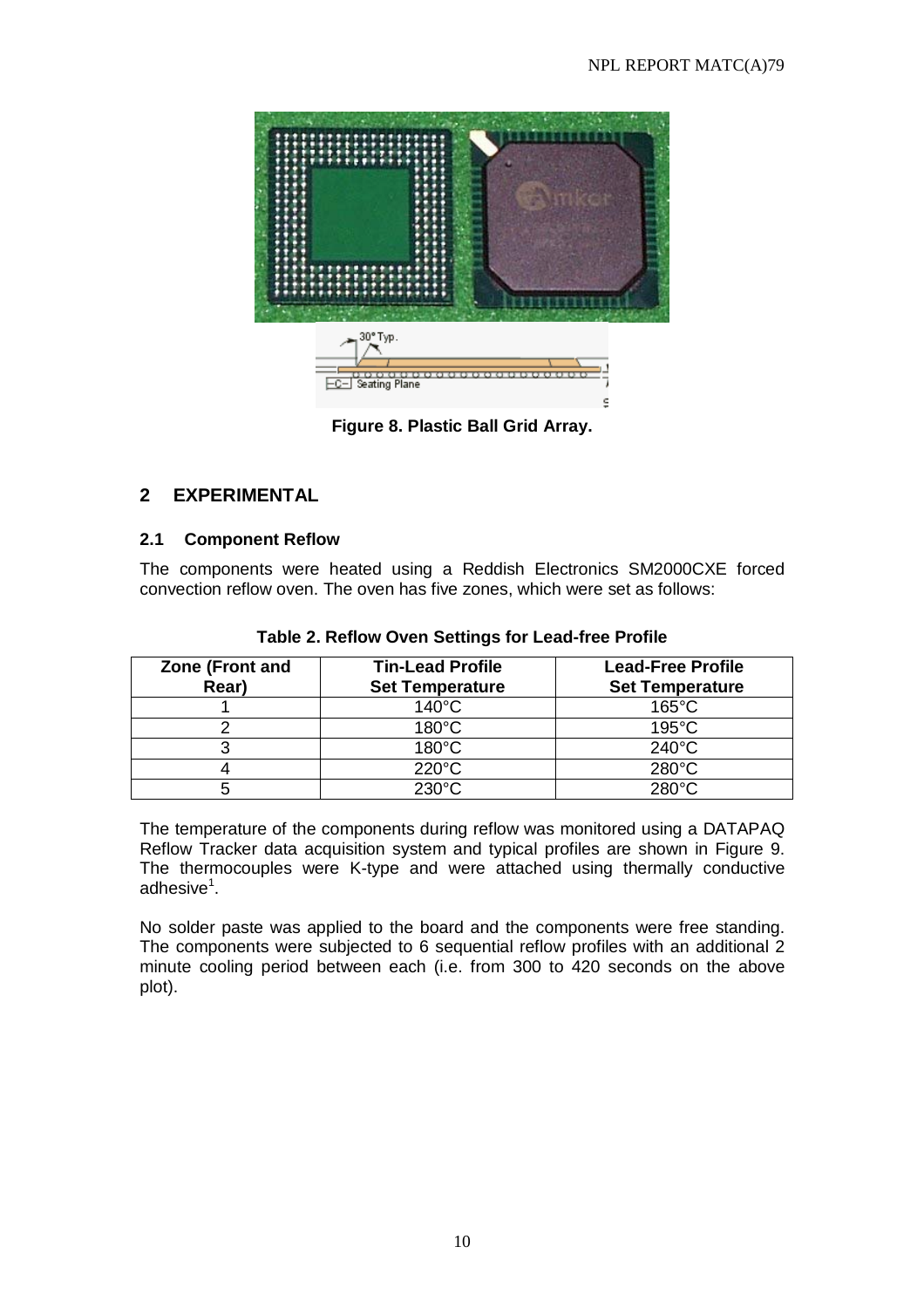

**Figure 8. Plastic Ball Grid Array.** 

# **2 EXPERIMENTAL**

#### **2.1 Component Reflow**

The components were heated using a Reddish Electronics SM2000CXE forced convection reflow oven. The oven has five zones, which were set as follows:

| Zone (Front and<br>Rear) | <b>Tin-Lead Profile</b><br><b>Set Temperature</b> | <b>Lead-Free Profile</b><br><b>Set Temperature</b> |
|--------------------------|---------------------------------------------------|----------------------------------------------------|
|                          | $140^{\circ}$ C                                   | $165^{\circ}$ C                                    |
|                          | $180^{\circ}$ C                                   | $195^{\circ}$ C                                    |
|                          | $180^{\circ}$ C                                   | $240^{\circ}$ C                                    |
|                          | $220^{\circ}$ C                                   | $280^{\circ}$ C                                    |
| b                        | $230^\circ C$                                     | $280^{\circ}$ C                                    |

#### **Table 2. Reflow Oven Settings for Lead-free Profile**

The temperature of the components during reflow was monitored using a DATAPAQ Reflow Tracker data acquisition system and typical profiles are shown in Figure 9. The thermocouples were K-type and were attached using thermally conductive adhesive<sup>1</sup>.

No solder paste was applied to the board and the components were free standing. The components were subjected to 6 sequential reflow profiles with an additional 2 minute cooling period between each (i.e. from 300 to 420 seconds on the above plot).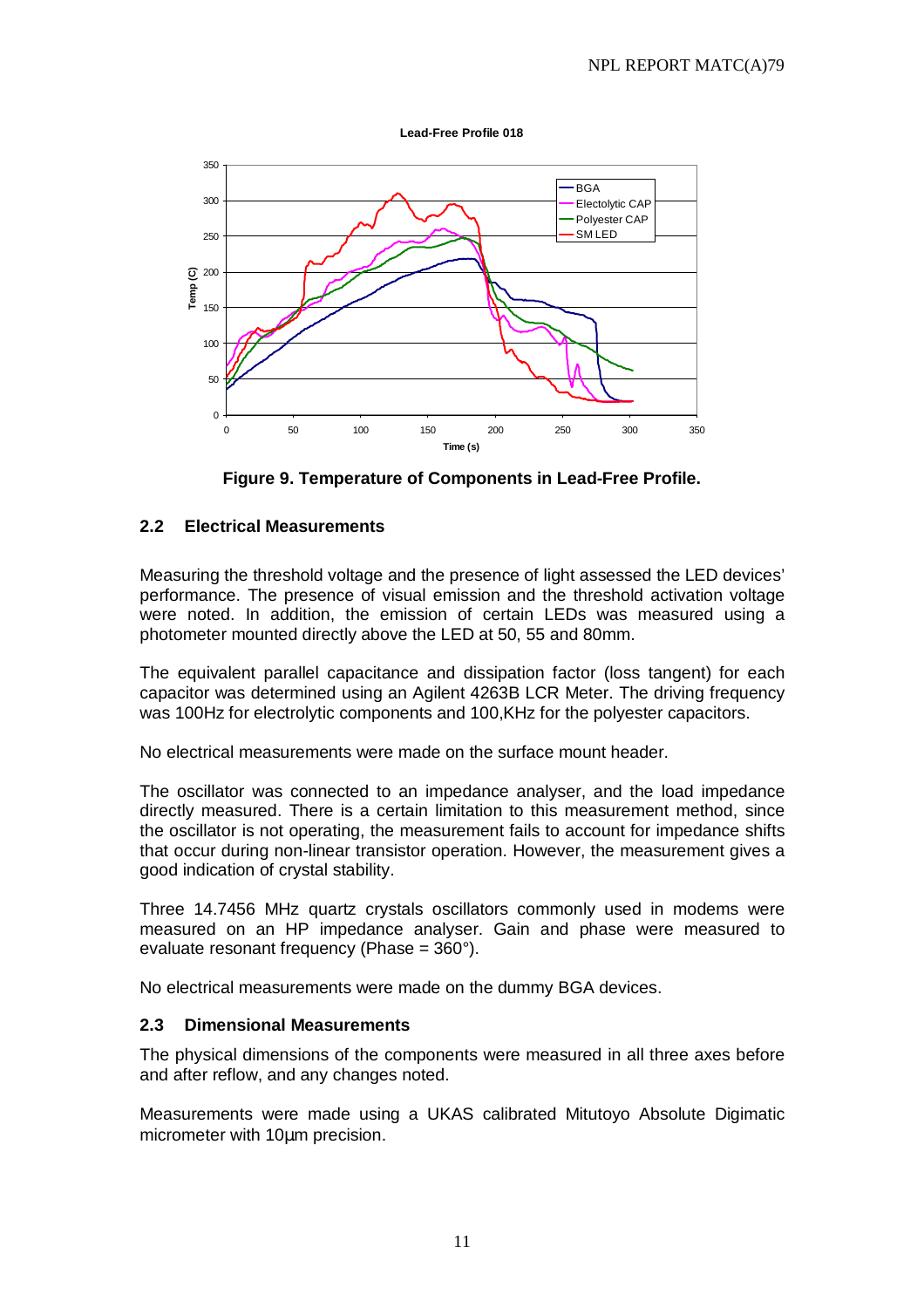**Lead-Free Profile 018**



**Figure 9. Temperature of Components in Lead-Free Profile.** 

#### **2.2 Electrical Measurements**

Measuring the threshold voltage and the presence of light assessed the LED devices' performance. The presence of visual emission and the threshold activation voltage were noted. In addition, the emission of certain LEDs was measured using a photometer mounted directly above the LED at 50, 55 and 80mm.

The equivalent parallel capacitance and dissipation factor (loss tangent) for each capacitor was determined using an Agilent 4263B LCR Meter. The driving frequency was 100Hz for electrolytic components and 100,KHz for the polyester capacitors.

No electrical measurements were made on the surface mount header.

The oscillator was connected to an impedance analyser, and the load impedance directly measured. There is a certain limitation to this measurement method, since the oscillator is not operating, the measurement fails to account for impedance shifts that occur during non-linear transistor operation. However, the measurement gives a good indication of crystal stability.

Three 14.7456 MHz quartz crystals oscillators commonly used in modems were measured on an HP impedance analyser. Gain and phase were measured to evaluate resonant frequency (Phase = 360°).

No electrical measurements were made on the dummy BGA devices.

#### **2.3 Dimensional Measurements**

The physical dimensions of the components were measured in all three axes before and after reflow, and any changes noted.

Measurements were made using a UKAS calibrated Mitutoyo Absolute Digimatic micrometer with 10µm precision.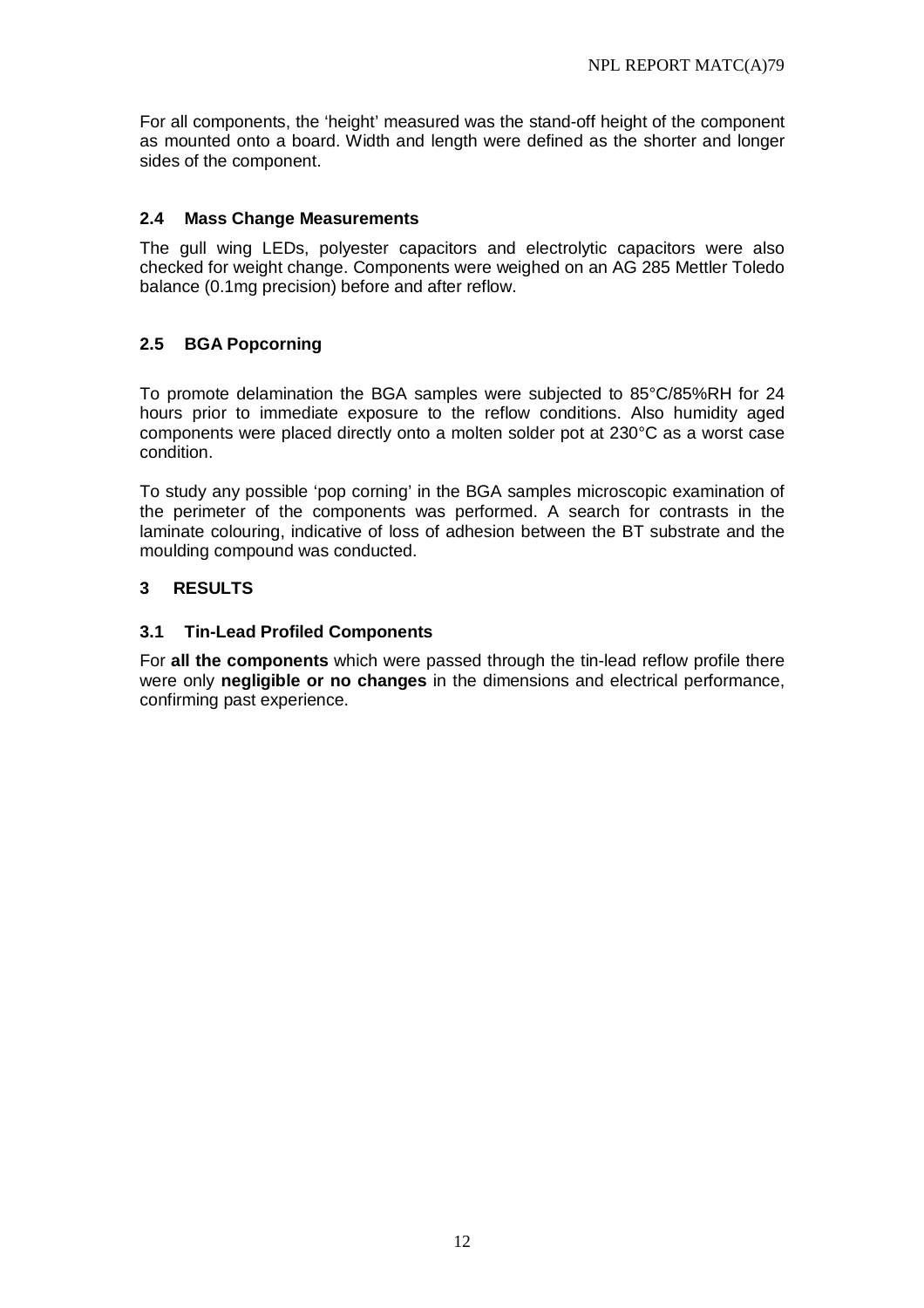For all components, the 'height' measured was the stand-off height of the component as mounted onto a board. Width and length were defined as the shorter and longer sides of the component.

#### **2.4 Mass Change Measurements**

The gull wing LEDs, polyester capacitors and electrolytic capacitors were also checked for weight change. Components were weighed on an AG 285 Mettler Toledo balance (0.1mg precision) before and after reflow.

# **2.5 BGA Popcorning**

To promote delamination the BGA samples were subjected to 85°C/85%RH for 24 hours prior to immediate exposure to the reflow conditions. Also humidity aged components were placed directly onto a molten solder pot at 230°C as a worst case condition.

To study any possible 'pop corning' in the BGA samples microscopic examination of the perimeter of the components was performed. A search for contrasts in the laminate colouring, indicative of loss of adhesion between the BT substrate and the moulding compound was conducted.

#### **3 RESULTS**

#### **3.1 Tin-Lead Profiled Components**

For **all the components** which were passed through the tin-lead reflow profile there were only **negligible or no changes** in the dimensions and electrical performance, confirming past experience.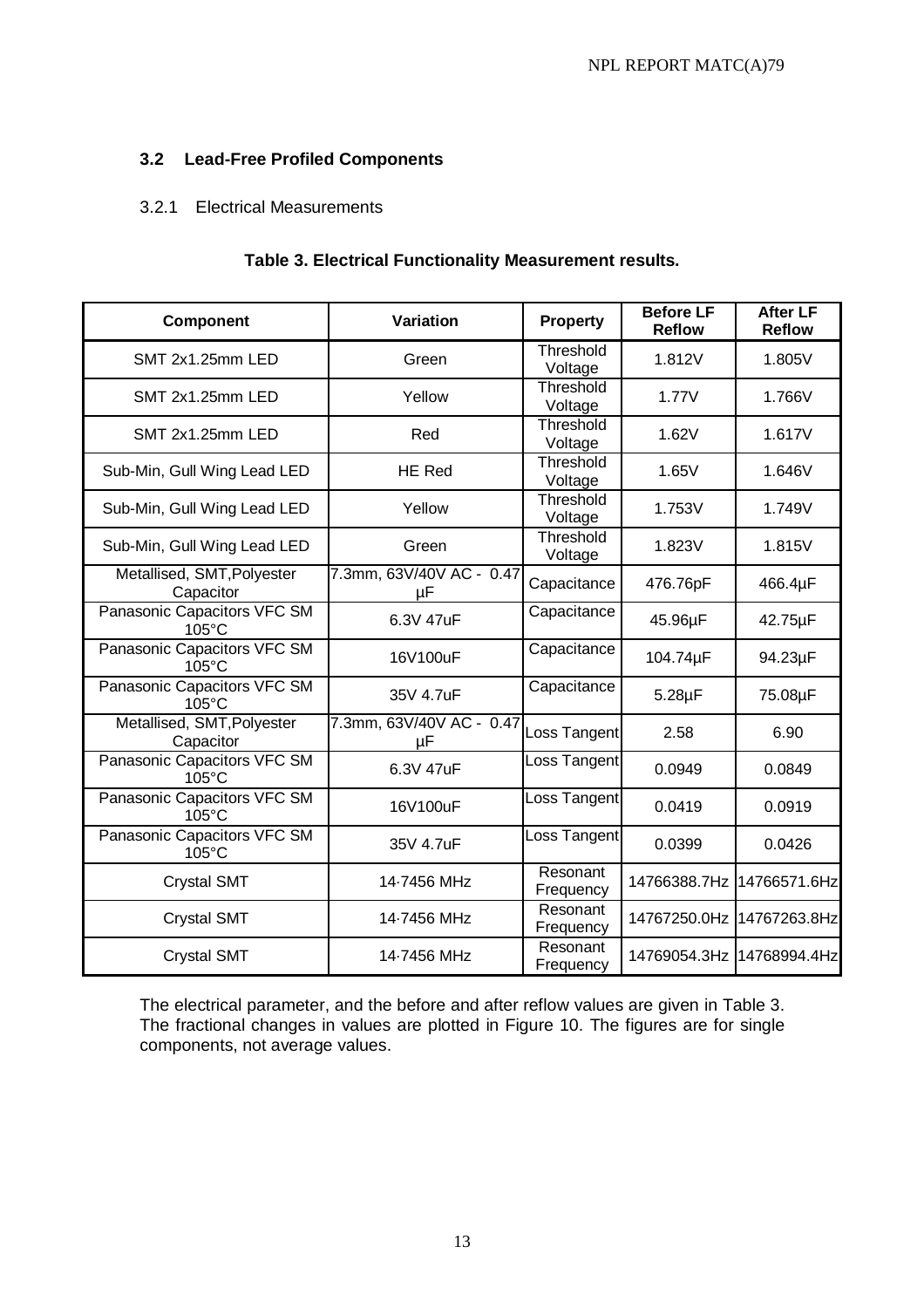# **3.2 Lead-Free Profiled Components**

#### 3.2.1 Electrical Measurements

## **Table 3. Electrical Functionality Measurement results.**

| <b>Component</b>                               | <b>Variation</b>               | Property              | <b>Before LF</b><br><b>Reflow</b> | <b>After LF</b><br><b>Reflow</b> |
|------------------------------------------------|--------------------------------|-----------------------|-----------------------------------|----------------------------------|
| SMT 2x1.25mm LED                               | Green                          | Threshold<br>Voltage  | 1.812V                            | 1.805V                           |
| SMT 2x1.25mm LED                               | Yellow                         | Threshold<br>Voltage  | 1.77V                             | 1.766V                           |
| SMT 2x1.25mm LED                               | Red                            | Threshold<br>Voltage  | 1.62V                             | 1.617V                           |
| Sub-Min, Gull Wing Lead LED                    | <b>HE Red</b>                  | Threshold<br>Voltage  | 1.65V                             | 1.646V                           |
| Sub-Min, Gull Wing Lead LED                    | Yellow                         | Threshold<br>Voltage  | 1.753V                            | 1.749V                           |
| Sub-Min, Gull Wing Lead LED                    | Green                          | Threshold<br>Voltage  | 1.823V                            | 1.815V                           |
| Metallised, SMT, Polyester<br>Capacitor        | 7.3mm, 63V/40V AC - 0.47<br>μF | Capacitance           | 476.76pF                          | 466.4µF                          |
| Panasonic Capacitors VFC SM<br>$105^{\circ}$ C | 6.3V 47uF                      | Capacitance           | 45.96µF                           | 42.75µF                          |
| Panasonic Capacitors VFC SM<br>105°C           | 16V100uF                       | Capacitance           | 104.74µF                          | 94.23µF                          |
| Panasonic Capacitors VFC SM<br>105°C           | 35V 4.7uF                      | Capacitance           | $5.28\mu F$                       | 75.08µF                          |
| Metallised, SMT, Polyester<br>Capacitor        | 7.3mm, 63V/40V AC - 0.47<br>μF | Loss Tangent          | 2.58                              | 6.90                             |
| Panasonic Capacitors VFC SM<br>105°C           | 6.3V 47uF                      | Loss Tangent          | 0.0949                            | 0.0849                           |
| Panasonic Capacitors VFC SM<br>$105^{\circ}$ C | 16V100uF                       | Loss Tangent          | 0.0419                            | 0.0919                           |
| Panasonic Capacitors VFC SM<br>105°C           | 35V 4.7uF                      | Loss Tangent          | 0.0399                            | 0.0426                           |
| <b>Crystal SMT</b>                             | 14-7456 MHz                    | Resonant<br>Frequency | 14766388.7Hz                      | 14766571.6Hz                     |
| <b>Crystal SMT</b>                             | 14-7456 MHz                    | Resonant<br>Frequency | 14767250.0Hz 14767263.8Hz         |                                  |
| <b>Crystal SMT</b>                             | 14-7456 MHz                    | Resonant<br>Frequency | 14769054.3Hz 14768994.4Hz         |                                  |

The electrical parameter, and the before and after reflow values are given in Table 3. The fractional changes in values are plotted in Figure 10. The figures are for single components, not average values.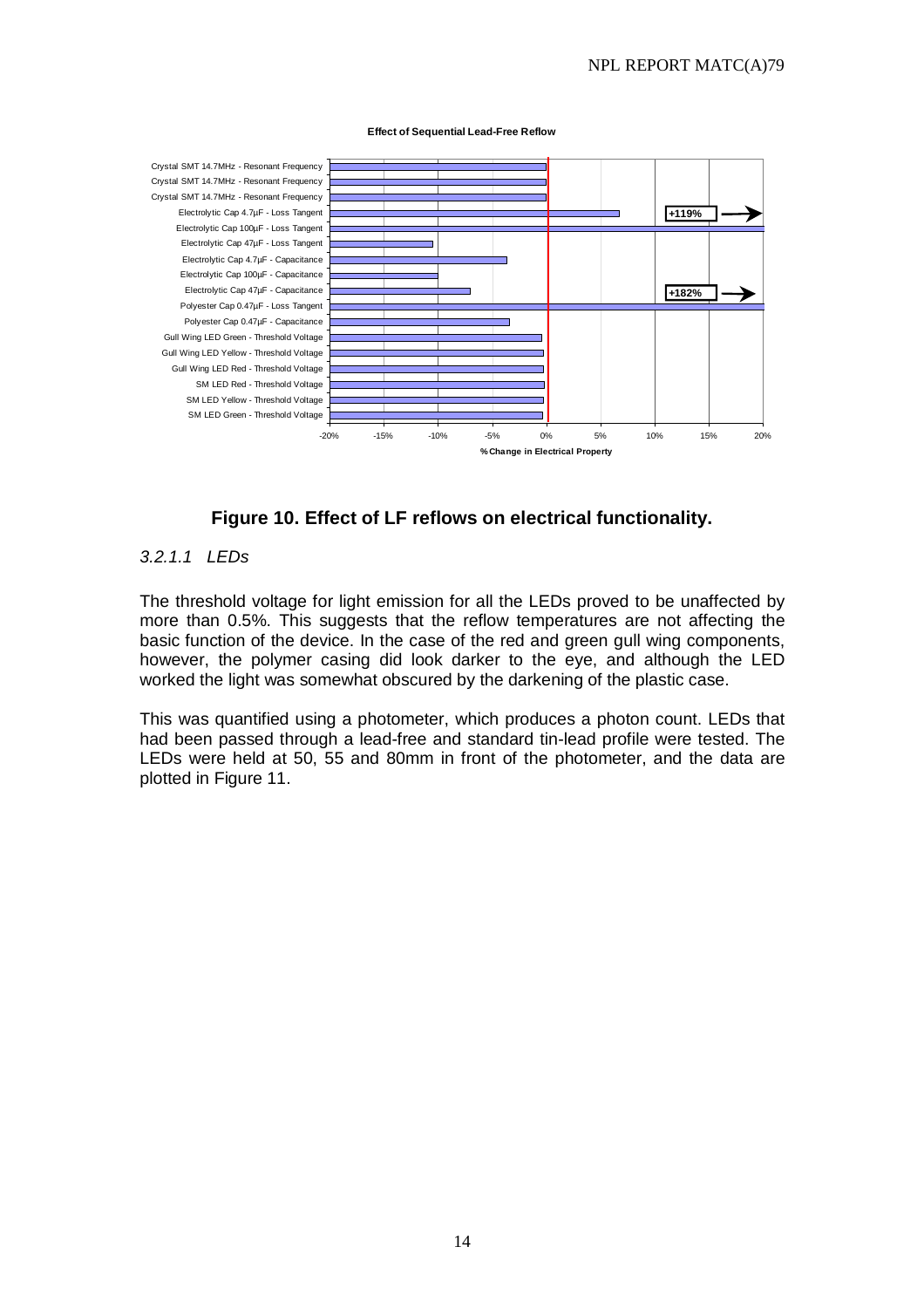#### **Effect of Sequential Lead-Free Reflow**



**Figure 10. Effect of LF reflows on electrical functionality.** 

#### $3211$  LEDs

The threshold voltage for light emission for all the LEDs proved to be unaffected by more than 0.5%. This suggests that the reflow temperatures are not affecting the basic function of the device. In the case of the red and green gull wing components, however, the polymer casing did look darker to the eye, and although the LED worked the light was somewhat obscured by the darkening of the plastic case.

This was quantified using a photometer, which produces a photon count. LEDs that had been passed through a lead-free and standard tin-lead profile were tested. The LEDs were held at 50, 55 and 80mm in front of the photometer, and the data are plotted in Figure 11.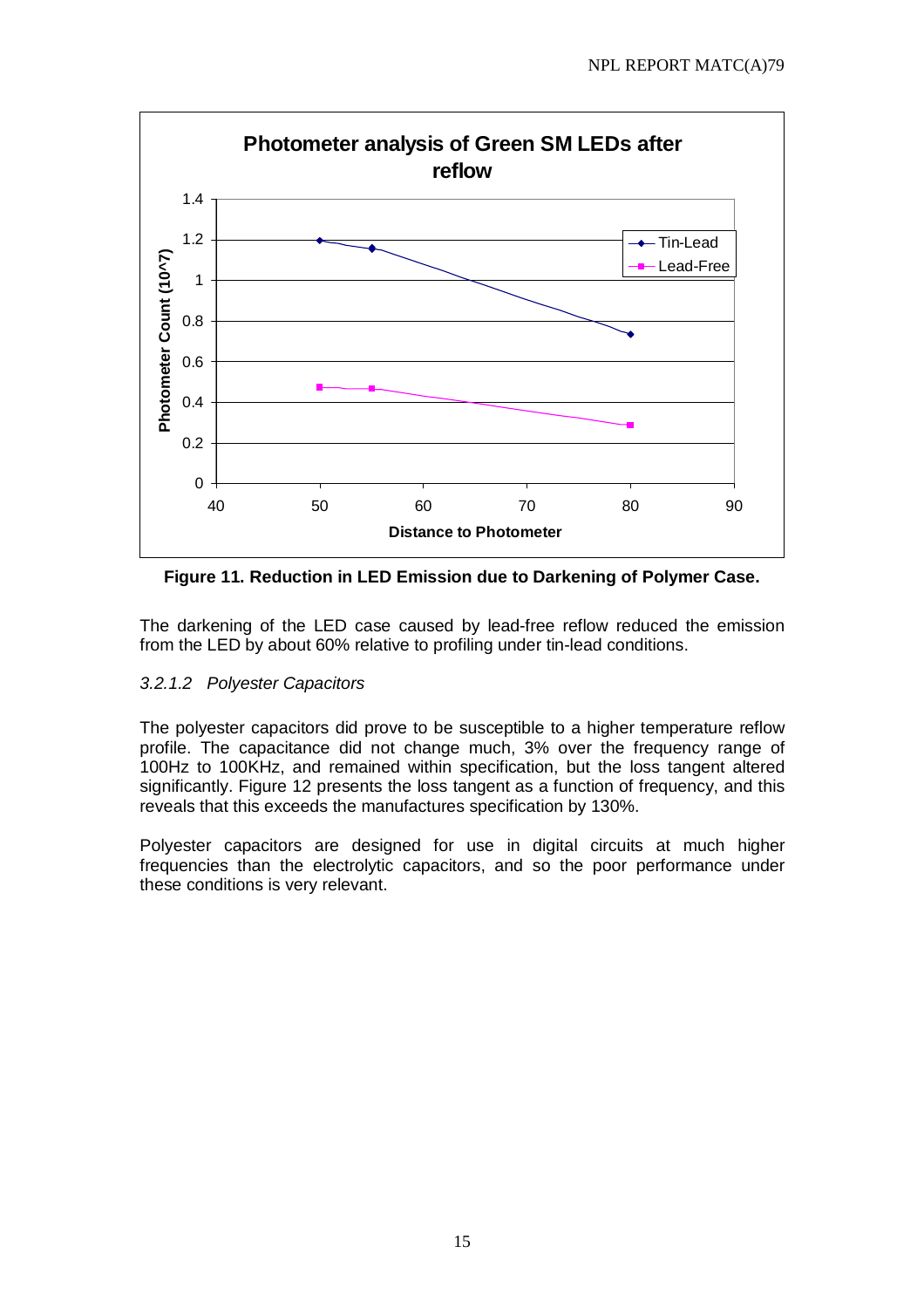

**Figure 11. Reduction in LED Emission due to Darkening of Polymer Case.** 

The darkening of the LED case caused by lead-free reflow reduced the emission from the LED by about 60% relative to profiling under tin-lead conditions.

#### 3.2.1.2 Polyester Capacitors

The polyester capacitors did prove to be susceptible to a higher temperature reflow profile. The capacitance did not change much, 3% over the frequency range of 100Hz to 100KHz, and remained within specification, but the loss tangent altered significantly. Figure 12 presents the loss tangent as a function of frequency, and this reveals that this exceeds the manufactures specification by 130%.

Polyester capacitors are designed for use in digital circuits at much higher frequencies than the electrolytic capacitors, and so the poor performance under these conditions is very relevant.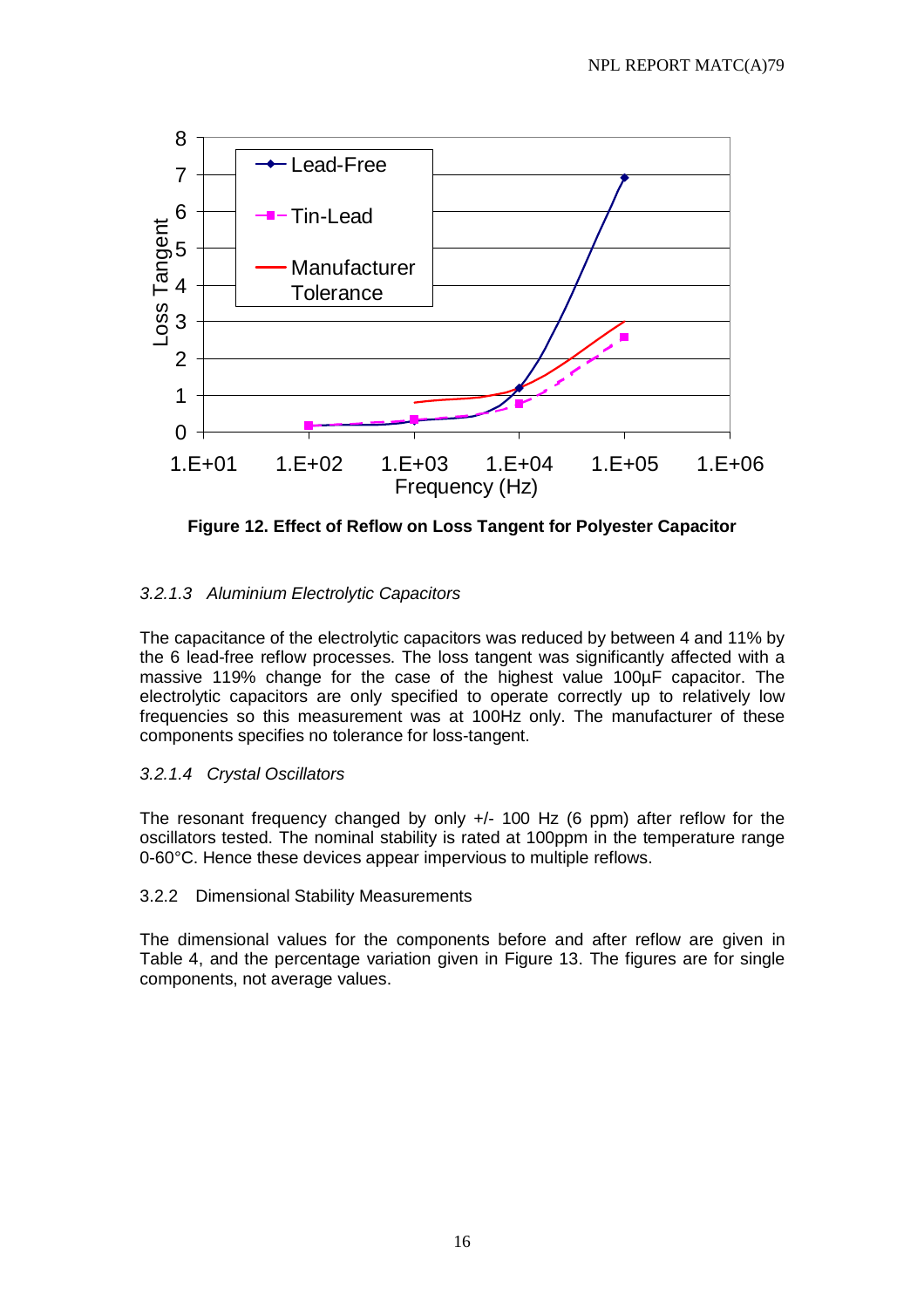

**Figure 12. Effect of Reflow on Loss Tangent for Polyester Capacitor**

# 3.2.1.3 Aluminium Electrolytic Capacitors

The capacitance of the electrolytic capacitors was reduced by between 4 and 11% by the 6 lead-free reflow processes. The loss tangent was significantly affected with a massive 119% change for the case of the highest value 100µF capacitor. The electrolytic capacitors are only specified to operate correctly up to relatively low frequencies so this measurement was at 100Hz only. The manufacturer of these components specifies no tolerance for loss-tangent.

# 3.2.1.4 Crystal Oscillators

The resonant frequency changed by only +/- 100 Hz (6 ppm) after reflow for the oscillators tested. The nominal stability is rated at 100ppm in the temperature range 0-60°C. Hence these devices appear impervious to multiple reflows.

#### 3.2.2 Dimensional Stability Measurements

The dimensional values for the components before and after reflow are given in Table 4, and the percentage variation given in Figure 13. The figures are for single components, not average values.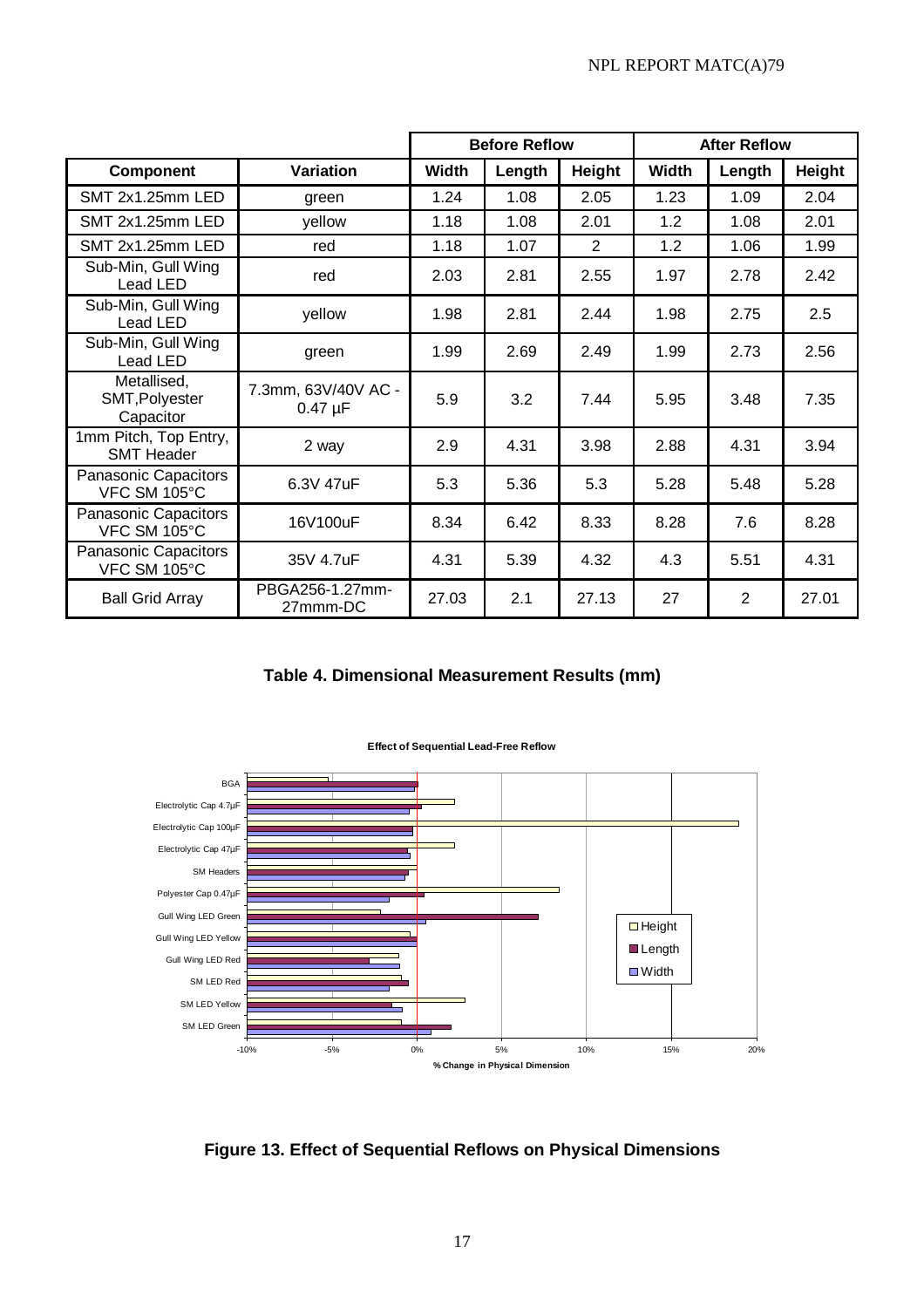|                                            |                                     | <b>Before Reflow</b> |        | <b>After Reflow</b> |              |                |        |
|--------------------------------------------|-------------------------------------|----------------------|--------|---------------------|--------------|----------------|--------|
| <b>Component</b>                           | Variation                           | <b>Width</b>         | Length | Height              | <b>Width</b> | Length         | Height |
| SMT 2x1.25mm LED                           | green                               | 1.24                 | 1.08   | 2.05                | 1.23         | 1.09           | 2.04   |
| SMT 2x1.25mm LED                           | yellow                              | 1.18                 | 1.08   | 2.01                | 1.2          | 1.08           | 2.01   |
| SMT 2x1.25mm LED                           | red                                 | 1.18                 | 1.07   | 2                   | 1.2          | 1.06           | 1.99   |
| Sub-Min, Gull Wing<br>Lead LED             | red                                 | 2.03                 | 2.81   | 2.55                | 1.97         | 2.78           | 2.42   |
| Sub-Min, Gull Wing<br>Lead LED             | yellow                              | 1.98                 | 2.81   | 2.44                | 1.98         | 2.75           | 2.5    |
| Sub-Min, Gull Wing<br>Lead LED             | green                               | 1.99                 | 2.69   | 2.49                | 1.99         | 2.73           | 2.56   |
| Metallised,<br>SMT, Polyester<br>Capacitor | 7.3mm, 63V/40V AC -<br>$0.47 \mu F$ | 5.9                  | 3.2    | 7.44                | 5.95         | 3.48           | 7.35   |
| 1mm Pitch, Top Entry,<br><b>SMT Header</b> | 2 way                               | 2.9                  | 4.31   | 3.98                | 2.88         | 4.31           | 3.94   |
| Panasonic Capacitors<br>VFC SM 105°C       | 6.3V 47uF                           | 5.3                  | 5.36   | 5.3                 | 5.28         | 5.48           | 5.28   |
| Panasonic Capacitors<br>VFC SM 105°C       | 16V100uF                            | 8.34                 | 6.42   | 8.33                | 8.28         | 7.6            | 8.28   |
| Panasonic Capacitors<br>VFC SM 105°C       | 35V 4.7uF                           | 4.31                 | 5.39   | 4.32                | 4.3          | 5.51           | 4.31   |
| <b>Ball Grid Array</b>                     | PBGA256-1.27mm-<br>27mmm-DC         | 27.03                | 2.1    | 27.13               | 27           | $\overline{2}$ | 27.01  |

**Table 4. Dimensional Measurement Results (mm)** 



**Effect of Sequential Lead-Free Reflow**

**Figure 13. Effect of Sequential Reflows on Physical Dimensions**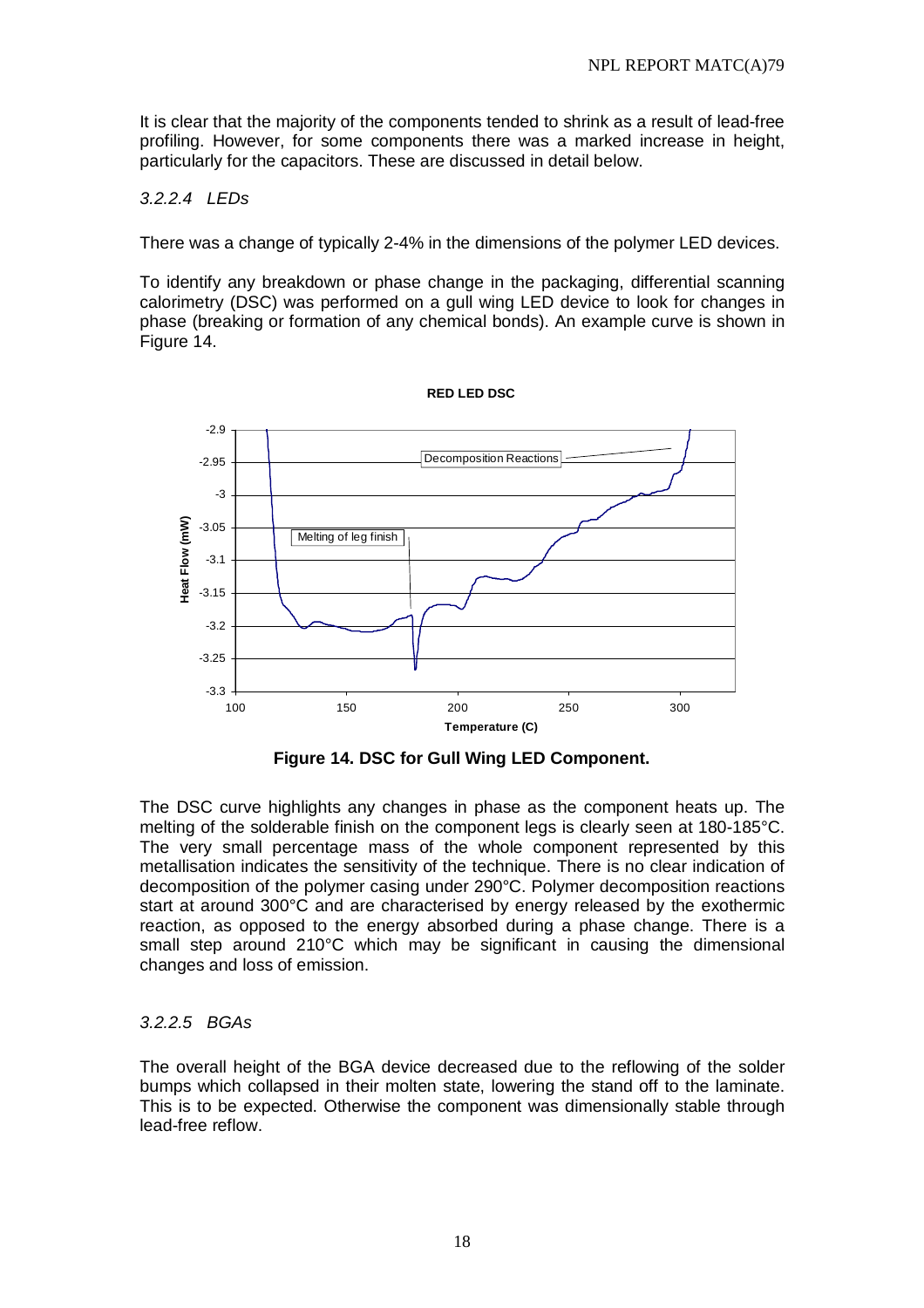It is clear that the majority of the components tended to shrink as a result of lead-free profiling. However, for some components there was a marked increase in height, particularly for the capacitors. These are discussed in detail below.

# 3.2.2.4 LEDs

There was a change of typically 2-4% in the dimensions of the polymer LED devices.

To identify any breakdown or phase change in the packaging, differential scanning calorimetry (DSC) was performed on a gull wing LED device to look for changes in phase (breaking or formation of any chemical bonds). An example curve is shown in Figure 14.



**Figure 14. DSC for Gull Wing LED Component.** 

The DSC curve highlights any changes in phase as the component heats up. The melting of the solderable finish on the component legs is clearly seen at 180-185°C. The very small percentage mass of the whole component represented by this metallisation indicates the sensitivity of the technique. There is no clear indication of decomposition of the polymer casing under 290°C. Polymer decomposition reactions start at around 300°C and are characterised by energy released by the exothermic reaction, as opposed to the energy absorbed during a phase change. There is a small step around 210°C which may be significant in causing the dimensional changes and loss of emission.

#### 3.2.2.5 BGAs

The overall height of the BGA device decreased due to the reflowing of the solder bumps which collapsed in their molten state, lowering the stand off to the laminate. This is to be expected. Otherwise the component was dimensionally stable through lead-free reflow.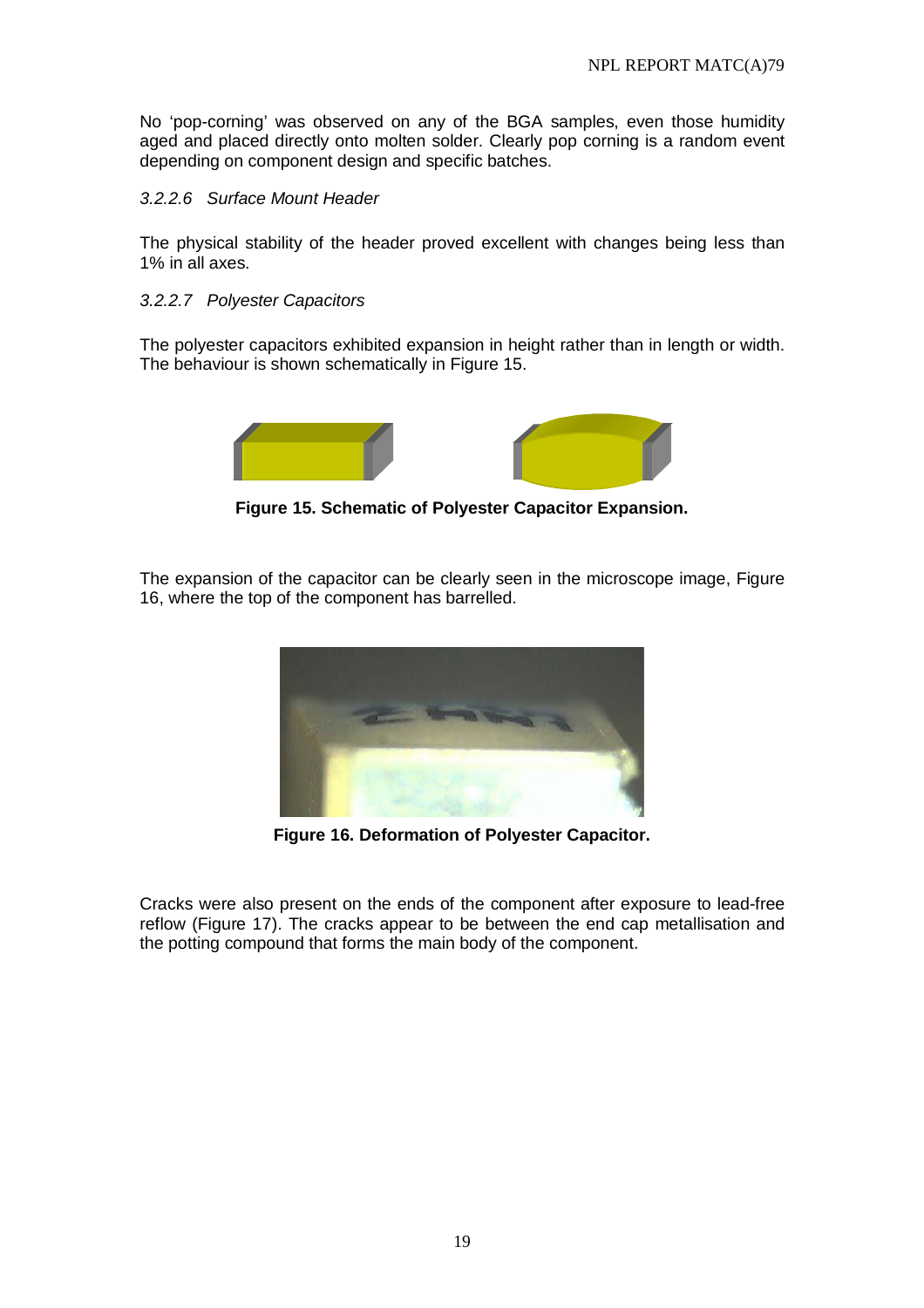No 'pop-corning' was observed on any of the BGA samples, even those humidity aged and placed directly onto molten solder. Clearly pop corning is a random event depending on component design and specific batches.

#### 3.2.2.6 Surface Mount Header

The physical stability of the header proved excellent with changes being less than 1% in all axes.

#### 3.2.2.7 Polyester Capacitors

The polyester capacitors exhibited expansion in height rather than in length or width. The behaviour is shown schematically in Figure 15.



**Figure 15. Schematic of Polyester Capacitor Expansion.** 

The expansion of the capacitor can be clearly seen in the microscope image, Figure 16, where the top of the component has barrelled.



**Figure 16. Deformation of Polyester Capacitor.** 

Cracks were also present on the ends of the component after exposure to lead-free reflow (Figure 17). The cracks appear to be between the end cap metallisation and the potting compound that forms the main body of the component.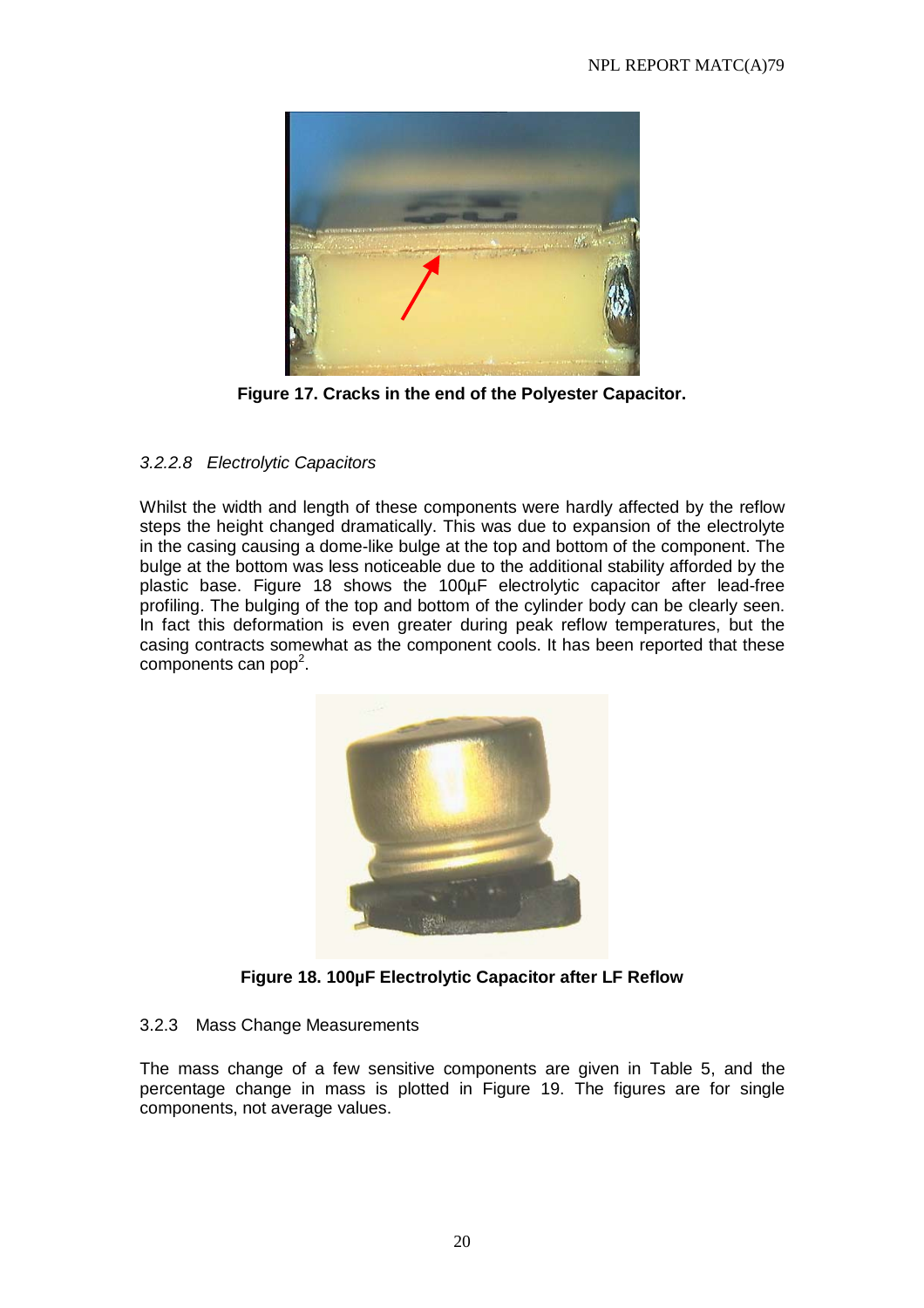

**Figure 17. Cracks in the end of the Polyester Capacitor.** 

# 3.2.2.8 Electrolytic Capacitors

Whilst the width and length of these components were hardly affected by the reflow steps the height changed dramatically. This was due to expansion of the electrolyte in the casing causing a dome-like bulge at the top and bottom of the component. The bulge at the bottom was less noticeable due to the additional stability afforded by the plastic base. Figure 18 shows the 100µF electrolytic capacitor after lead-free profiling. The bulging of the top and bottom of the cylinder body can be clearly seen. In fact this deformation is even greater during peak reflow temperatures, but the casing contracts somewhat as the component cools. It has been reported that these components can pop<sup>2</sup>.



**Figure 18. 100µF Electrolytic Capacitor after LF Reflow**

#### 3.2.3 Mass Change Measurements

The mass change of a few sensitive components are given in Table 5, and the percentage change in mass is plotted in Figure 19. The figures are for single components, not average values.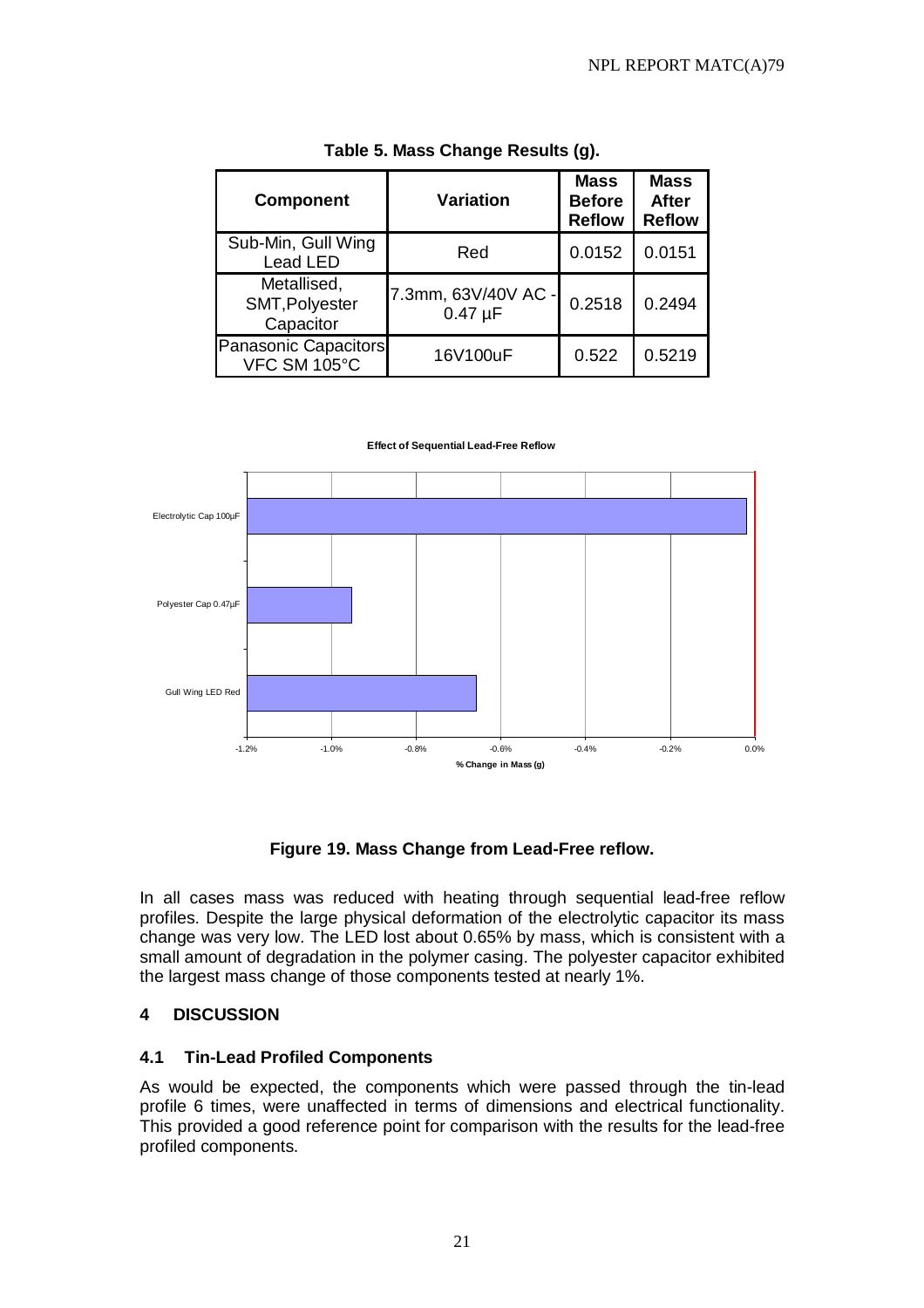| <b>Component</b>                           | <b>Variation</b>                    | <b>Mass</b><br><b>Before</b><br><b>Reflow</b> | <b>Mass</b><br><b>After</b><br><b>Reflow</b> |  |
|--------------------------------------------|-------------------------------------|-----------------------------------------------|----------------------------------------------|--|
| Sub-Min, Gull Wing<br>Lead LED             | Red                                 | 0.0152                                        | 0.0151                                       |  |
| Metallised,<br>SMT, Polyester<br>Capacitor | 7.3mm, 63V/40V AC -<br>$0.47 \mu F$ | 0.2518                                        | 0.2494                                       |  |
| Panasonic Capacitors<br>VFC SM 105°C       | 16V100uF                            | 0.522                                         | 0.5219                                       |  |

#### **Table 5. Mass Change Results (g).**



#### **Effect of Sequential Lead-Free Reflow**

#### **Figure 19. Mass Change from Lead-Free reflow.**

In all cases mass was reduced with heating through sequential lead-free reflow profiles. Despite the large physical deformation of the electrolytic capacitor its mass change was very low. The LED lost about 0.65% by mass, which is consistent with a small amount of degradation in the polymer casing. The polyester capacitor exhibited the largest mass change of those components tested at nearly 1%.

#### **4 DISCUSSION**

#### **4.1 Tin-Lead Profiled Components**

As would be expected, the components which were passed through the tin-lead profile 6 times, were unaffected in terms of dimensions and electrical functionality. This provided a good reference point for comparison with the results for the lead-free profiled components.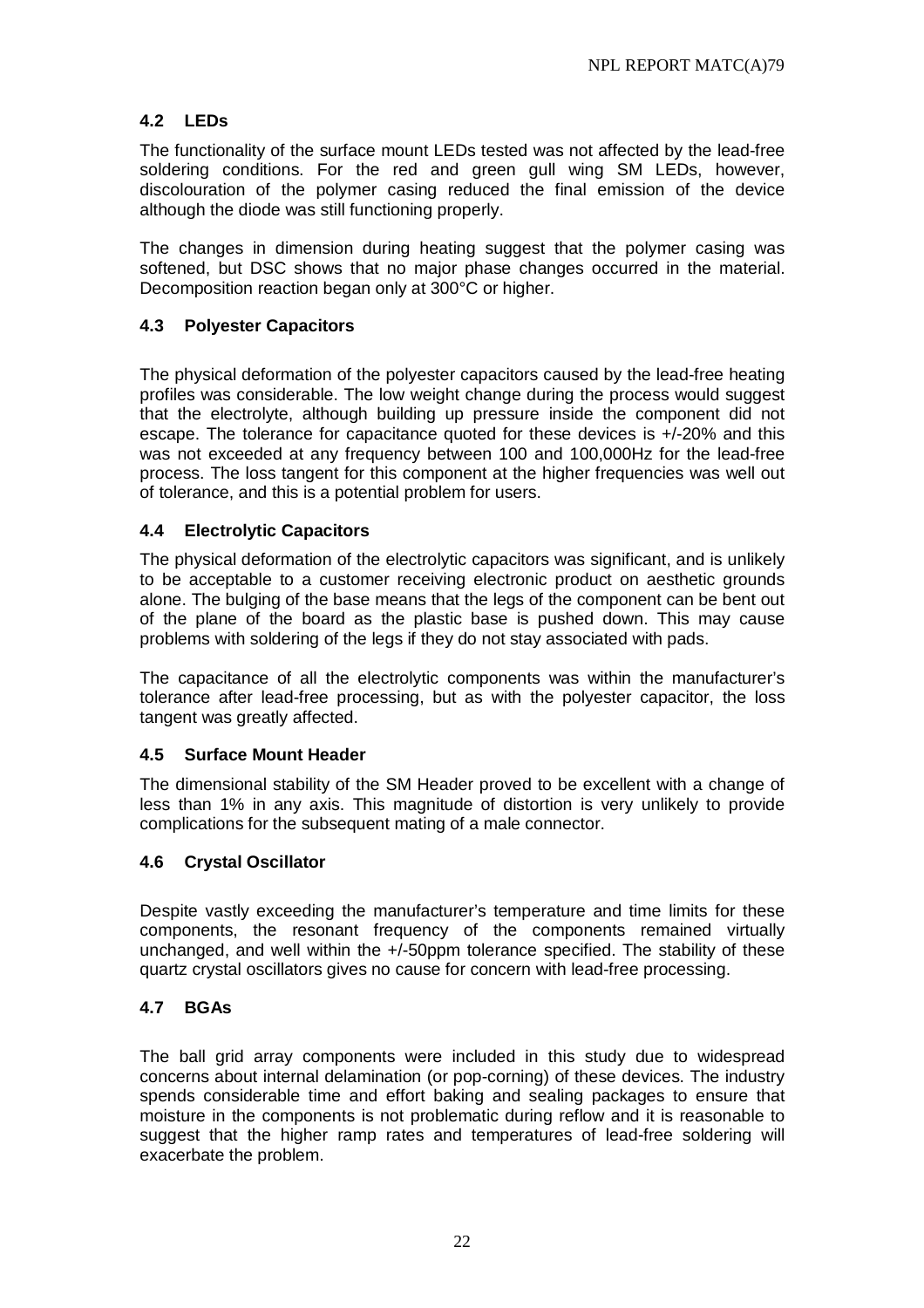# **4.2 LEDs**

The functionality of the surface mount LEDs tested was not affected by the lead-free soldering conditions. For the red and green gull wing SM LEDs, however, discolouration of the polymer casing reduced the final emission of the device although the diode was still functioning properly.

The changes in dimension during heating suggest that the polymer casing was softened, but DSC shows that no major phase changes occurred in the material. Decomposition reaction began only at 300°C or higher.

# **4.3 Polyester Capacitors**

The physical deformation of the polyester capacitors caused by the lead-free heating profiles was considerable. The low weight change during the process would suggest that the electrolyte, although building up pressure inside the component did not escape. The tolerance for capacitance quoted for these devices is +/-20% and this was not exceeded at any frequency between 100 and 100,000Hz for the lead-free process. The loss tangent for this component at the higher frequencies was well out of tolerance, and this is a potential problem for users.

# **4.4 Electrolytic Capacitors**

The physical deformation of the electrolytic capacitors was significant, and is unlikely to be acceptable to a customer receiving electronic product on aesthetic grounds alone. The bulging of the base means that the legs of the component can be bent out of the plane of the board as the plastic base is pushed down. This may cause problems with soldering of the legs if they do not stay associated with pads.

The capacitance of all the electrolytic components was within the manufacturer's tolerance after lead-free processing, but as with the polyester capacitor, the loss tangent was greatly affected.

# **4.5 Surface Mount Header**

The dimensional stability of the SM Header proved to be excellent with a change of less than 1% in any axis. This magnitude of distortion is very unlikely to provide complications for the subsequent mating of a male connector.

# **4.6 Crystal Oscillator**

Despite vastly exceeding the manufacturer's temperature and time limits for these components, the resonant frequency of the components remained virtually unchanged, and well within the +/-50ppm tolerance specified. The stability of these quartz crystal oscillators gives no cause for concern with lead-free processing.

# **4.7 BGAs**

The ball grid array components were included in this study due to widespread concerns about internal delamination (or pop-corning) of these devices. The industry spends considerable time and effort baking and sealing packages to ensure that moisture in the components is not problematic during reflow and it is reasonable to suggest that the higher ramp rates and temperatures of lead-free soldering will exacerbate the problem.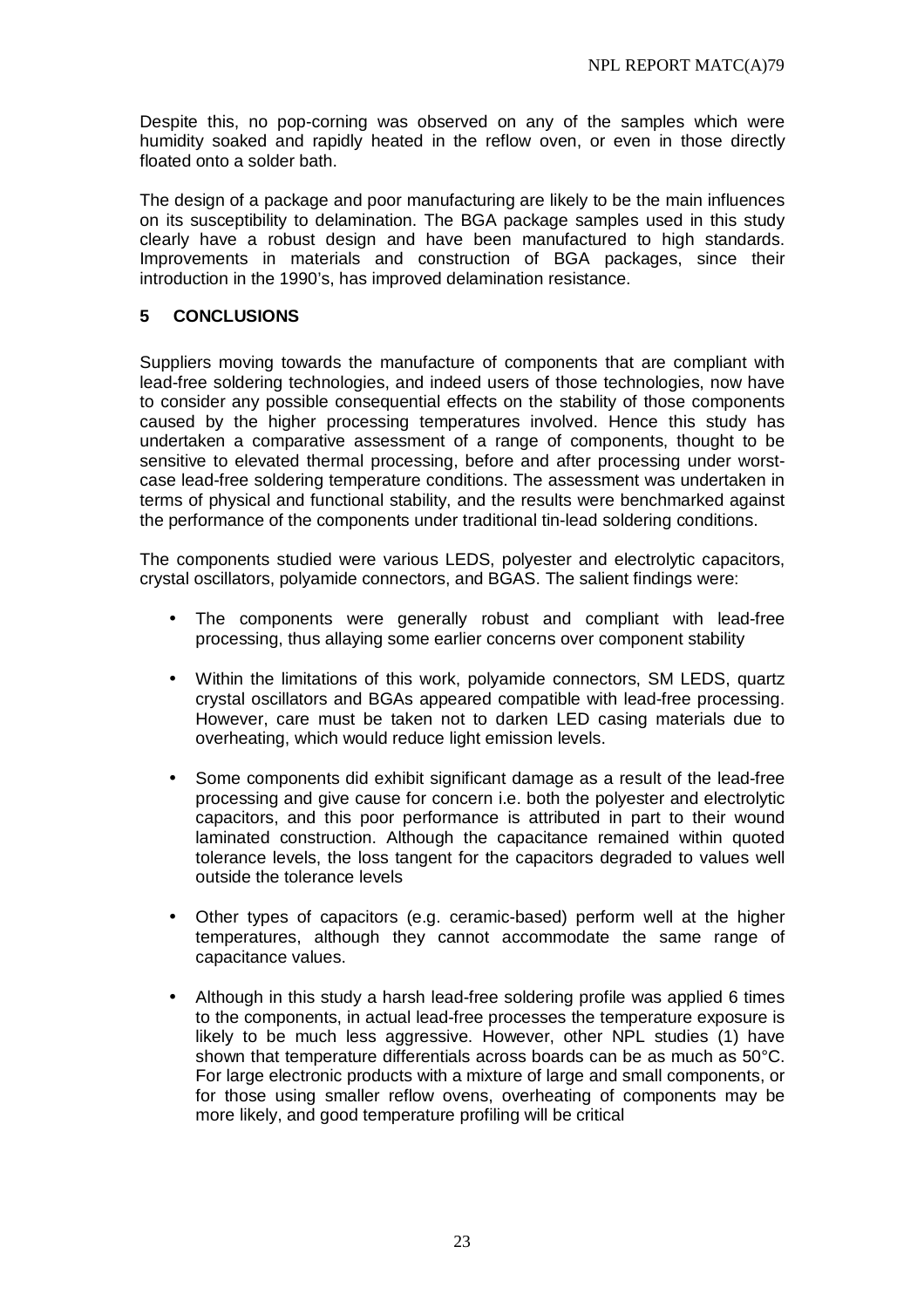Despite this, no pop-corning was observed on any of the samples which were humidity soaked and rapidly heated in the reflow oven, or even in those directly floated onto a solder bath.

The design of a package and poor manufacturing are likely to be the main influences on its susceptibility to delamination. The BGA package samples used in this study clearly have a robust design and have been manufactured to high standards. Improvements in materials and construction of BGA packages, since their introduction in the 1990's, has improved delamination resistance.

# **5 CONCLUSIONS**

Suppliers moving towards the manufacture of components that are compliant with lead-free soldering technologies, and indeed users of those technologies, now have to consider any possible consequential effects on the stability of those components caused by the higher processing temperatures involved. Hence this study has undertaken a comparative assessment of a range of components, thought to be sensitive to elevated thermal processing, before and after processing under worstcase lead-free soldering temperature conditions. The assessment was undertaken in terms of physical and functional stability, and the results were benchmarked against the performance of the components under traditional tin-lead soldering conditions.

The components studied were various LEDS, polyester and electrolytic capacitors, crystal oscillators, polyamide connectors, and BGAS. The salient findings were:

- The components were generally robust and compliant with lead-free processing, thus allaying some earlier concerns over component stability
- Within the limitations of this work, polyamide connectors, SM LEDS, quartz crystal oscillators and BGAs appeared compatible with lead-free processing. However, care must be taken not to darken LED casing materials due to overheating, which would reduce light emission levels.
- Some components did exhibit significant damage as a result of the lead-free processing and give cause for concern i.e. both the polyester and electrolytic capacitors, and this poor performance is attributed in part to their wound laminated construction. Although the capacitance remained within quoted tolerance levels, the loss tangent for the capacitors degraded to values well outside the tolerance levels
- Other types of capacitors (e.g. ceramic-based) perform well at the higher temperatures, although they cannot accommodate the same range of capacitance values.
- Although in this study a harsh lead-free soldering profile was applied 6 times to the components, in actual lead-free processes the temperature exposure is likely to be much less aggressive. However, other NPL studies (1) have shown that temperature differentials across boards can be as much as 50°C. For large electronic products with a mixture of large and small components, or for those using smaller reflow ovens, overheating of components may be more likely, and good temperature profiling will be critical